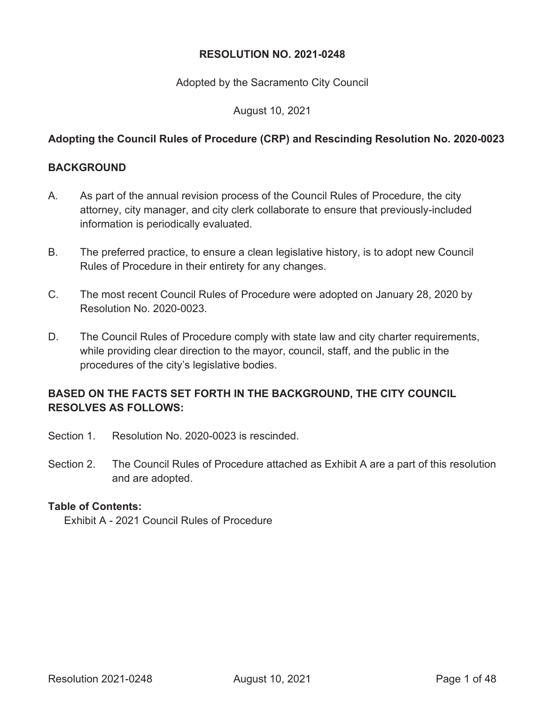#### **RESOLUTION NO. 2021-0248**

Adopted by the Sacramento City Council

August 10, 2021

#### **Adopting the Council Rules of Procedure (CRP) and Rescinding Resolution No. 2020-0023**

#### **BACKGROUND**

- A. As part of the annual revision process of the Council Rules of Procedure, the city attorney, city manager, and city clerk collaborate to ensure that previously-included information is periodically evaluated.
- B. The preferred practice, to ensure a clean legislative history, is to adopt new Council Rules of Procedure in their entirety for any changes.
- C. The most recent Council Rules of Procedure were adopted on January 28, 2020 by Resolution No. 2020-0023.
- D. The Council Rules of Procedure comply with state law and city charter requirements, while providing clear direction to the mayor, council, staff, and the public in the procedures of the city's legislative bodies.

#### **BASED ON THE FACTS SET FORTH IN THE BACKGROUND, THE CITY COUNCIL RESOLVES AS FOLLOWS:**

- Section 1. Resolution No. 2020-0023 is rescinded.
- Section 2. The Council Rules of Procedure attached as Exhibit A are a part of this resolution and are adopted.

#### **Table of Contents:**

Exhibit A - 2021 Council Rules of Procedure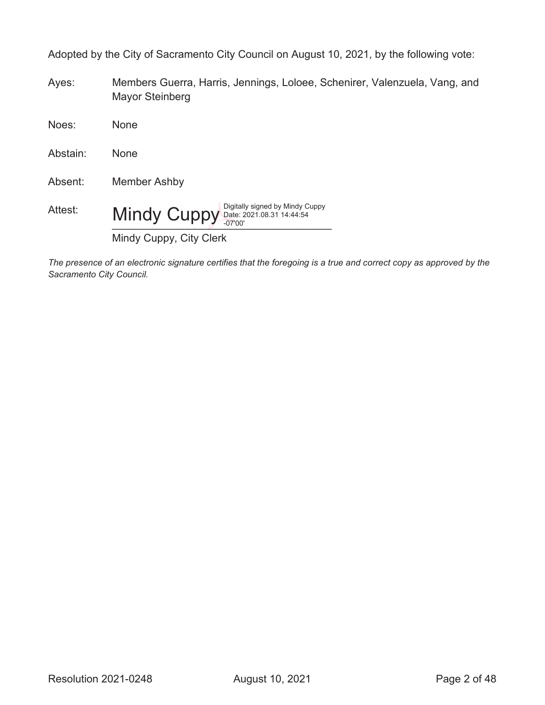Adopted by the City of Sacramento City Council on August 10, 2021, by the following vote:

Ayes: Members Guerra, Harris, Jennings, Loloee, Schenirer, Valenzuela, Vang, and Mayor Steinberg

Noes: None Abstain: None Absent: Member Ashby Attest: Mindy Cuppy Digitally signed by Mindy Cuppy (Digitally signed by Mindy Cuppy) Mindy Cuppy, City Clerk -07'00'

*The presence of an electronic signature certifies that the foregoing is a true and correct copy as approved by the Sacramento City Council.*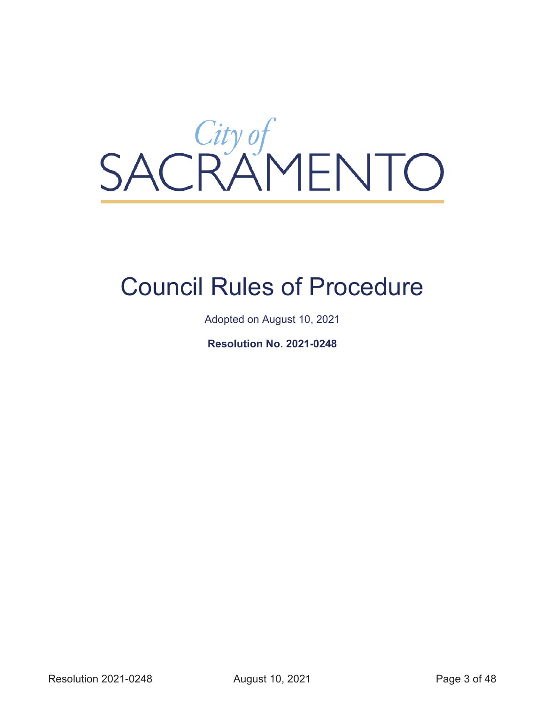

# Council Rules of Procedure

Adopted on August 10, 2021

**Resolution No. 2021-0248**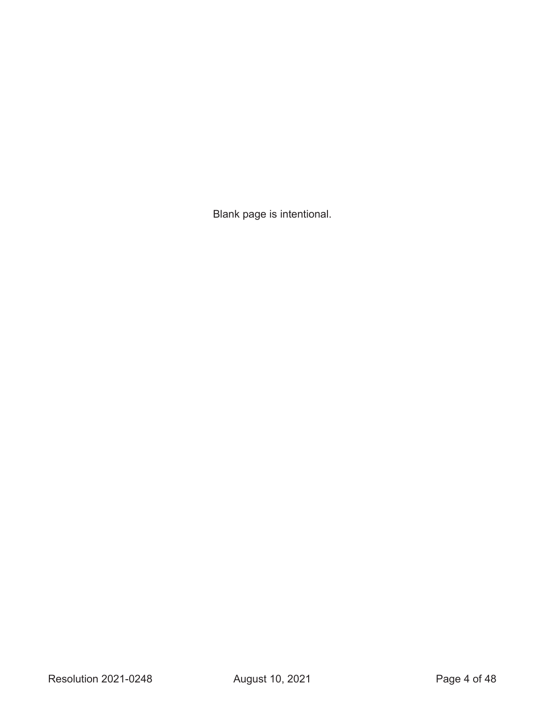Blank page is intentional.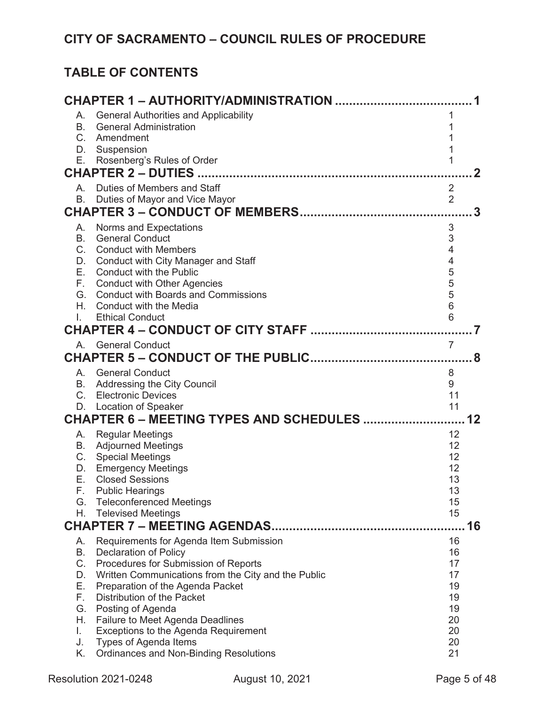# **TABLE OF CONTENTS**

| А.              | <b>General Authorities and Applicability</b>                 | 1                    |    |
|-----------------|--------------------------------------------------------------|----------------------|----|
| <b>B.</b><br>C. | <b>General Administration</b><br>Amendment                   | 1<br>1               |    |
| D.              | Suspension                                                   | 1                    |    |
| Е.              | Rosenberg's Rules of Order                                   | 1                    |    |
|                 |                                                              |                      | 2  |
| А.              | Duties of Members and Staff                                  | $\overline{2}$       |    |
| В.              | Duties of Mayor and Vice Mayor                               | $\overline{2}$       |    |
|                 |                                                              |                      | 3  |
| А.              | Norms and Expectations                                       | 3                    |    |
| <b>B.</b>       | <b>General Conduct</b><br>C. Conduct with Members            | 3<br>$\overline{4}$  |    |
| D.              | <b>Conduct with City Manager and Staff</b>                   | $\overline{4}$       |    |
| Е.              | <b>Conduct with the Public</b>                               | 5                    |    |
|                 | F. Conduct with Other Agencies                               | 5                    |    |
| G.              | <b>Conduct with Boards and Commissions</b>                   | 5                    |    |
| Н.<br>L.        | Conduct with the Media<br><b>Ethical Conduct</b>             | $6\phantom{1}6$<br>6 |    |
|                 |                                                              |                      |    |
|                 | A. General Conduct                                           | $\overline{7}$       |    |
|                 |                                                              |                      | 8  |
|                 | A. General Conduct                                           | 8                    |    |
| В.              | Addressing the City Council                                  | 9                    |    |
|                 | C. Electronic Devices                                        | 11                   |    |
| D.              | <b>Location of Speaker</b>                                   | 11                   |    |
|                 | CHAPTER 6 - MEETING TYPES AND SCHEDULES                      |                      | 12 |
| А.              | <b>Regular Meetings</b>                                      | 12                   |    |
| В.              | <b>Adjourned Meetings</b><br>C. Special Meetings             | 12<br>12             |    |
|                 | D. Emergency Meetings                                        | 12                   |    |
| Е.              | <b>Closed Sessions</b>                                       | 13                   |    |
|                 | F. Public Hearings                                           | 13                   |    |
| G.<br>Н.        | <b>Teleconferenced Meetings</b><br><b>Televised Meetings</b> | 15<br>15             |    |
|                 |                                                              |                      | 16 |
| А.              | Requirements for Agenda Item Submission                      | 16                   |    |
| В.              | <b>Declaration of Policy</b>                                 | 16                   |    |
| $C_{-}$         | Procedures for Submission of Reports                         | 17                   |    |
| D.              | Written Communications from the City and the Public          | 17                   |    |
| Е.              | Preparation of the Agenda Packet                             | 19                   |    |
| F.<br>G.        | Distribution of the Packet<br>Posting of Agenda              | 19<br>19             |    |
| Н.              | <b>Failure to Meet Agenda Deadlines</b>                      | 20                   |    |
| L.              | Exceptions to the Agenda Requirement                         | 20                   |    |
| J.              | Types of Agenda Items                                        | 20                   |    |
| Κ.              | <b>Ordinances and Non-Binding Resolutions</b>                | 21                   |    |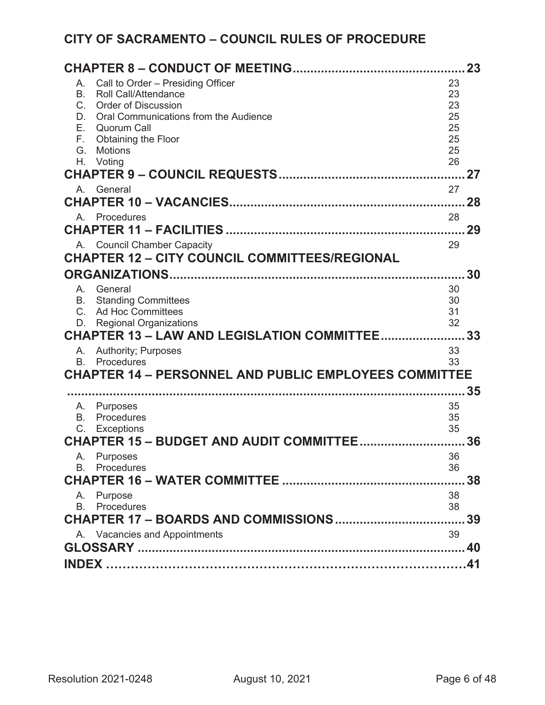| 23                                                                             |          |    |  |  |
|--------------------------------------------------------------------------------|----------|----|--|--|
| Call to Order - Presiding Officer<br>А.                                        | 23       |    |  |  |
| B.<br><b>Roll Call/Attendance</b>                                              | 23       |    |  |  |
| $C_{1}$<br><b>Order of Discussion</b><br>Oral Communications from the Audience | 23       |    |  |  |
| D.<br>E.<br><b>Quorum Call</b>                                                 | 25<br>25 |    |  |  |
| F.<br><b>Obtaining the Floor</b>                                               | 25       |    |  |  |
| G.<br><b>Motions</b>                                                           | 25       |    |  |  |
| Η.<br>Voting                                                                   | 26       |    |  |  |
|                                                                                |          | 27 |  |  |
| General<br>Α.                                                                  | 27       |    |  |  |
|                                                                                |          |    |  |  |
| Procedures<br>Α.                                                               | 28       |    |  |  |
|                                                                                |          | 29 |  |  |
| A. Council Chamber Capacity                                                    | 29       |    |  |  |
| <b>CHAPTER 12 - CITY COUNCIL COMMITTEES/REGIONAL</b>                           |          |    |  |  |
|                                                                                |          |    |  |  |
| A. General                                                                     | 30       |    |  |  |
| <b>Standing Committees</b><br>B.                                               | 30       |    |  |  |
| $C_{-}$<br><b>Ad Hoc Committees</b>                                            | 31       |    |  |  |
| <b>Regional Organizations</b><br>D.                                            | 32       |    |  |  |
| CHAPTER 13 - LAW AND LEGISLATION COMMITTEE 33                                  |          |    |  |  |
| <b>Authority</b> ; Purposes<br>А.<br><b>B.</b> Procedures                      | 33<br>33 |    |  |  |
| <b>CHAPTER 14 - PERSONNEL AND PUBLIC EMPLOYEES COMMITTEE</b>                   |          |    |  |  |
|                                                                                |          | 35 |  |  |
|                                                                                | 35       |    |  |  |
| A. Purposes<br>Procedures<br>B.                                                | 35       |    |  |  |
| C.<br>Exceptions                                                               | 35       |    |  |  |
| CHAPTER 15 - BUDGET AND AUDIT COMMITTEE                                        |          | 36 |  |  |
| <b>Purposes</b><br>A.                                                          | 36       |    |  |  |
| <b>B.</b> Procedures                                                           | 36       |    |  |  |
|                                                                                |          | 38 |  |  |
| A. Purpose                                                                     | 38       |    |  |  |
| <b>B.</b> Procedures                                                           | 38       |    |  |  |
| <b>CHAPTER 17 - BOARDS AND COMMISSIONS</b><br>39                               |          |    |  |  |
| A. Vacancies and Appointments                                                  | 39       |    |  |  |
|                                                                                |          |    |  |  |
|                                                                                |          |    |  |  |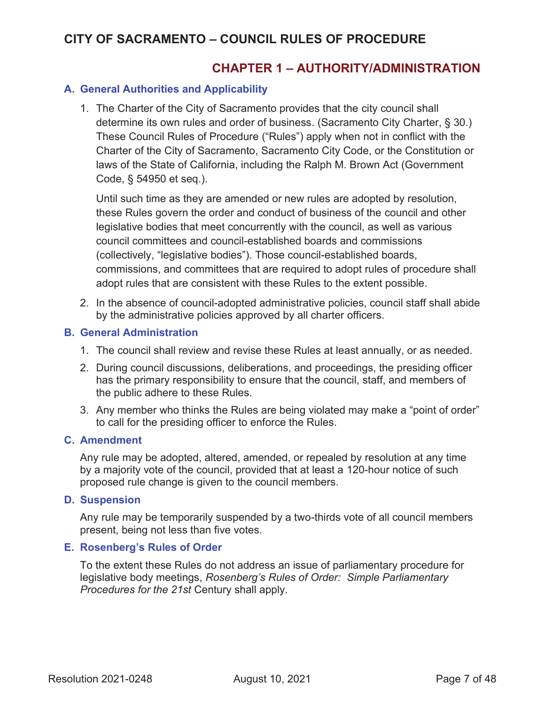### **CHAPTER 1 – AUTHORITY/ADMINISTRATION**

#### **A. General Authorities and Applicability**

1. The Charter of the City of Sacramento provides that the city council shall determine its own rules and order of business. (Sacramento City Charter, § 30.) These Council Rules of Procedure ("Rules") apply when not in conflict with the Charter of the City of Sacramento, Sacramento City Code, or the Constitution or laws of the State of California, including the Ralph M. Brown Act (Government Code, § 54950 et seq.).

Until such time as they are amended or new rules are adopted by resolution, these Rules govern the order and conduct of business of the council and other legislative bodies that meet concurrently with the council, as well as various council committees and council-established boards and commissions (collectively, "legislative bodies"). Those council-established boards, commissions, and committees that are required to adopt rules of procedure shall adopt rules that are consistent with these Rules to the extent possible.

2. In the absence of council-adopted administrative policies, council staff shall abide by the administrative policies approved by all charter officers.

#### **B. General Administration**

- 1. The council shall review and revise these Rules at least annually, or as needed.
- 2. During council discussions, deliberations, and proceedings, the presiding officer has the primary responsibility to ensure that the council, staff, and members of the public adhere to these Rules.
- 3. Any member who thinks the Rules are being violated may make a "point of order" to call for the presiding officer to enforce the Rules.

#### **C. Amendment**

Any rule may be adopted, altered, amended, or repealed by resolution at any time by a majority vote of the council, provided that at least a 120-hour notice of such proposed rule change is given to the council members.

#### **D. Suspension**

Any rule may be temporarily suspended by a two-thirds vote of all council members present, being not less than five votes.

#### **E. Rosenberg's Rules of Order**

To the extent these Rules do not address an issue of parliamentary procedure for legislative body meetings, *Rosenberg's Rules of Order: Simple Parliamentary Procedures for the 21st* Century shall apply.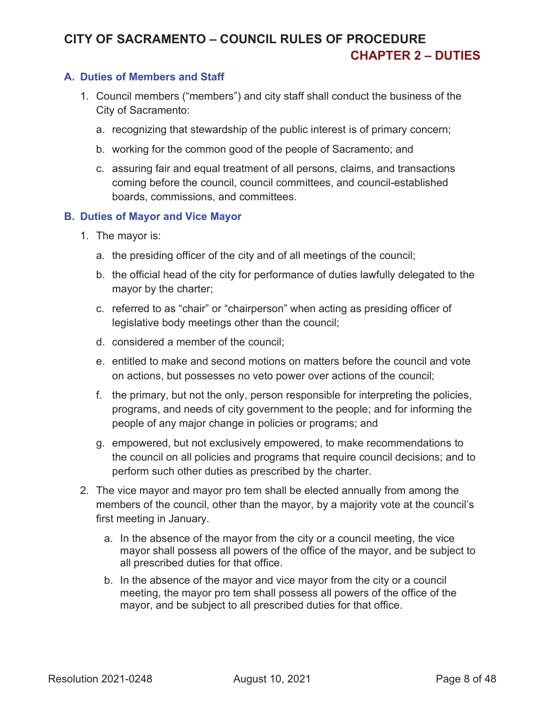# **CITY OF SACRAMENTO – COUNCIL RULES OF PROCEDURE CHAPTER 2 – DUTIES**

#### **A. Duties of Members and Staff**

- 1. Council members ("members") and city staff shall conduct the business of the City of Sacramento:
	- a. recognizing that stewardship of the public interest is of primary concern;
	- b. working for the common good of the people of Sacramento; and
	- c. assuring fair and equal treatment of all persons, claims, and transactions coming before the council, council committees, and council-established boards, commissions, and committees.

#### **B. Duties of Mayor and Vice Mayor**

- 1. The mayor is:
	- a. the presiding officer of the city and of all meetings of the council;
	- b. the official head of the city for performance of duties lawfully delegated to the mayor by the charter;
	- c. referred to as "chair" or "chairperson" when acting as presiding officer of legislative body meetings other than the council;
	- d. considered a member of the council;
	- e. entitled to make and second motions on matters before the council and vote on actions, but possesses no veto power over actions of the council;
	- f. the primary, but not the only, person responsible for interpreting the policies, programs, and needs of city government to the people; and for informing the people of any major change in policies or programs; and
	- g. empowered, but not exclusively empowered, to make recommendations to the council on all policies and programs that require council decisions; and to perform such other duties as prescribed by the charter.
- 2. The vice mayor and mayor pro tem shall be elected annually from among the members of the council, other than the mayor, by a majority vote at the council's first meeting in January.
	- a. In the absence of the mayor from the city or a council meeting, the vice mayor shall possess all powers of the office of the mayor, and be subject to all prescribed duties for that office.
	- b. In the absence of the mayor and vice mayor from the city or a council meeting, the mayor pro tem shall possess all powers of the office of the mayor, and be subject to all prescribed duties for that office.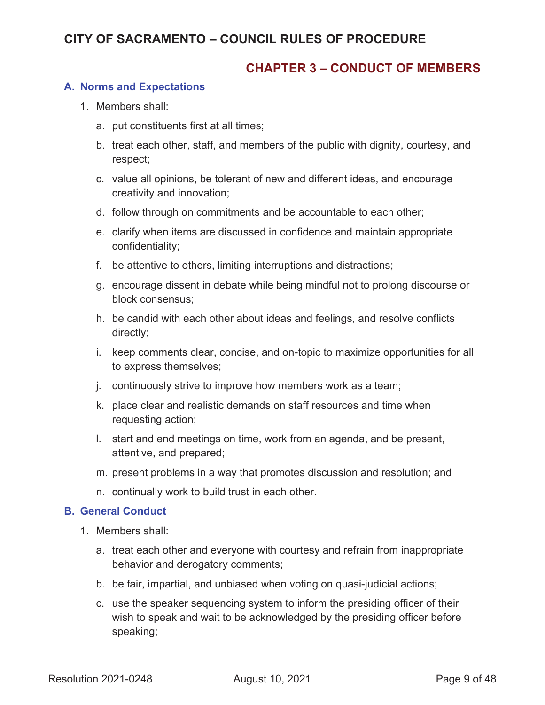### **CHAPTER 3 – CONDUCT OF MEMBERS**

#### **A. Norms and Expectations**

- 1. Members shall:
	- a. put constituents first at all times;
	- b. treat each other, staff, and members of the public with dignity, courtesy, and respect;
	- c. value all opinions, be tolerant of new and different ideas, and encourage creativity and innovation;
	- d. follow through on commitments and be accountable to each other;
	- e. clarify when items are discussed in confidence and maintain appropriate confidentiality;
	- f. be attentive to others, limiting interruptions and distractions;
	- g. encourage dissent in debate while being mindful not to prolong discourse or block consensus;
	- h. be candid with each other about ideas and feelings, and resolve conflicts directly;
	- i. keep comments clear, concise, and on-topic to maximize opportunities for all to express themselves;
	- j. continuously strive to improve how members work as a team;
	- k. place clear and realistic demands on staff resources and time when requesting action;
	- l. start and end meetings on time, work from an agenda, and be present, attentive, and prepared;
	- m. present problems in a way that promotes discussion and resolution; and
	- n. continually work to build trust in each other.

#### **B. General Conduct**

- 1. Members shall:
	- a. treat each other and everyone with courtesy and refrain from inappropriate behavior and derogatory comments;
	- b. be fair, impartial, and unbiased when voting on quasi-judicial actions;
	- c. use the speaker sequencing system to inform the presiding officer of their wish to speak and wait to be acknowledged by the presiding officer before speaking;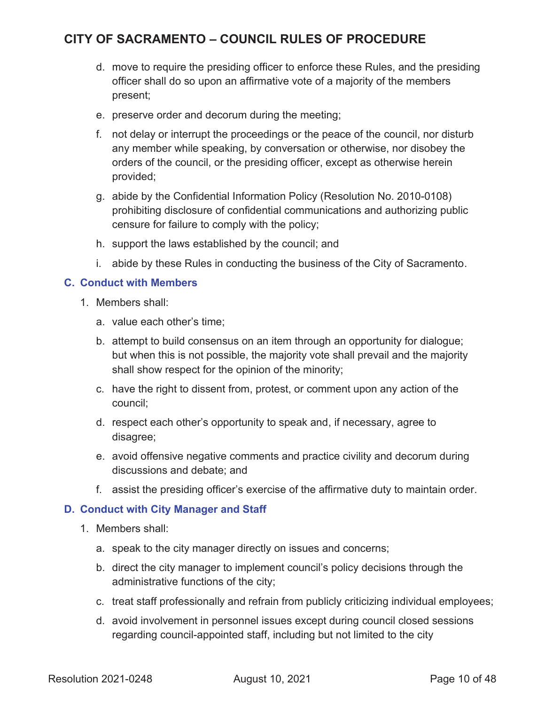- d. move to require the presiding officer to enforce these Rules, and the presiding officer shall do so upon an affirmative vote of a majority of the members present;
- e. preserve order and decorum during the meeting;
- f. not delay or interrupt the proceedings or the peace of the council, nor disturb any member while speaking, by conversation or otherwise, nor disobey the orders of the council, or the presiding officer, except as otherwise herein provided;
- g. abide by the Confidential Information Policy (Resolution No. 2010-0108) prohibiting disclosure of confidential communications and authorizing public censure for failure to comply with the policy;
- h. support the laws established by the council; and
- i. abide by these Rules in conducting the business of the City of Sacramento.

#### **C. Conduct with Members**

- 1. Members shall:
	- a. value each other's time;
	- b. attempt to build consensus on an item through an opportunity for dialogue; but when this is not possible, the majority vote shall prevail and the majority shall show respect for the opinion of the minority;
	- c. have the right to dissent from, protest, or comment upon any action of the council;
	- d. respect each other's opportunity to speak and, if necessary, agree to disagree;
	- e. avoid offensive negative comments and practice civility and decorum during discussions and debate; and
	- f. assist the presiding officer's exercise of the affirmative duty to maintain order.

#### **D. Conduct with City Manager and Staff**

- 1. Members shall:
	- a. speak to the city manager directly on issues and concerns;
	- b. direct the city manager to implement council's policy decisions through the administrative functions of the city;
	- c. treat staff professionally and refrain from publicly criticizing individual employees;
	- d. avoid involvement in personnel issues except during council closed sessions regarding council-appointed staff, including but not limited to the city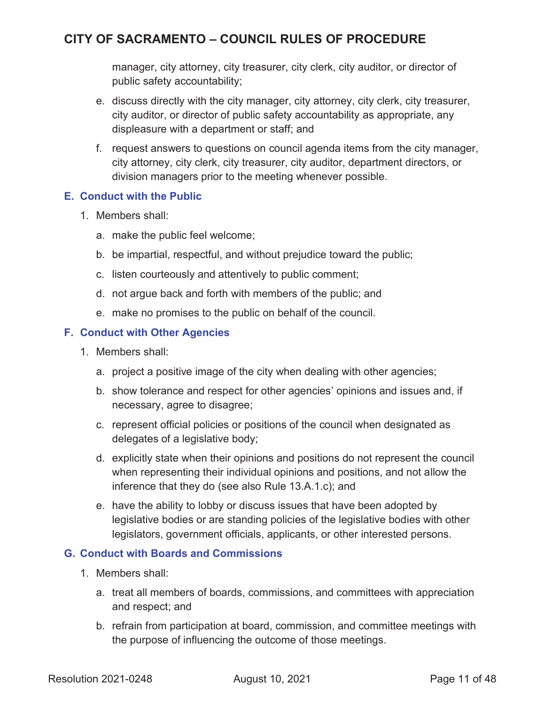manager, city attorney, city treasurer, city clerk, city auditor, or director of public safety accountability;

- e. discuss directly with the city manager, city attorney, city clerk, city treasurer, city auditor, or director of public safety accountability as appropriate, any displeasure with a department or staff; and
- f. request answers to questions on council agenda items from the city manager, city attorney, city clerk, city treasurer, city auditor, department directors, or division managers prior to the meeting whenever possible.

#### **E. Conduct with the Public**

- 1. Members shall:
	- a. make the public feel welcome;
	- b. be impartial, respectful, and without prejudice toward the public;
	- c. listen courteously and attentively to public comment;
	- d. not argue back and forth with members of the public; and
	- e. make no promises to the public on behalf of the council.

#### **F. Conduct with Other Agencies**

- 1. Members shall:
	- a. project a positive image of the city when dealing with other agencies;
	- b. show tolerance and respect for other agencies' opinions and issues and, if necessary, agree to disagree;
	- c. represent official policies or positions of the council when designated as delegates of a legislative body;
	- d. explicitly state when their opinions and positions do not represent the council when representing their individual opinions and positions, and not allow the inference that they do (see also Rule 13.A.1.c); and
	- e. have the ability to lobby or discuss issues that have been adopted by legislative bodies or are standing policies of the legislative bodies with other legislators, government officials, applicants, or other interested persons.

#### **G. Conduct with Boards and Commissions**

- 1. Members shall:
	- a. treat all members of boards, commissions, and committees with appreciation and respect; and
	- b. refrain from participation at board, commission, and committee meetings with the purpose of influencing the outcome of those meetings.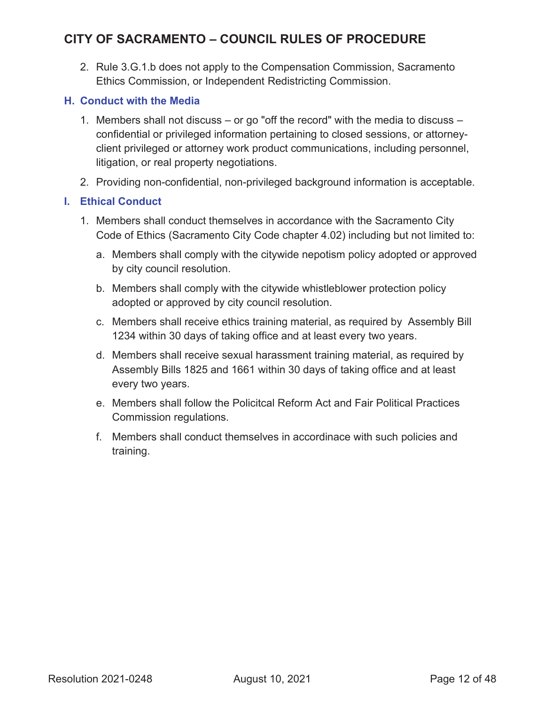2. Rule 3.G.1.b does not apply to the Compensation Commission, Sacramento Ethics Commission, or Independent Redistricting Commission.

#### **H. Conduct with the Media**

- 1. Members shall not discuss or go "off the record" with the media to discuss confidential or privileged information pertaining to closed sessions, or attorneyclient privileged or attorney work product communications, including personnel, litigation, or real property negotiations.
- 2. Providing non-confidential, non-privileged background information is acceptable.

#### **I. Ethical Conduct**

- 1. Members shall conduct themselves in accordance with the Sacramento City Code of Ethics (Sacramento City Code chapter 4.02) including but not limited to:
	- a. Members shall comply with the citywide nepotism policy adopted or approved by city council resolution.
	- b. Members shall comply with the citywide whistleblower protection policy adopted or approved by city council resolution.
	- c. Members shall receive ethics training material, as required by Assembly Bill 1234 within 30 days of taking office and at least every two years.
	- d. Members shall receive sexual harassment training material, as required by Assembly Bills 1825 and 1661 within 30 days of taking office and at least every two years.
	- e. Members shall follow the Policitcal Reform Act and Fair Political Practices Commission regulations.
	- f. Members shall conduct themselves in accordinace with such policies and training.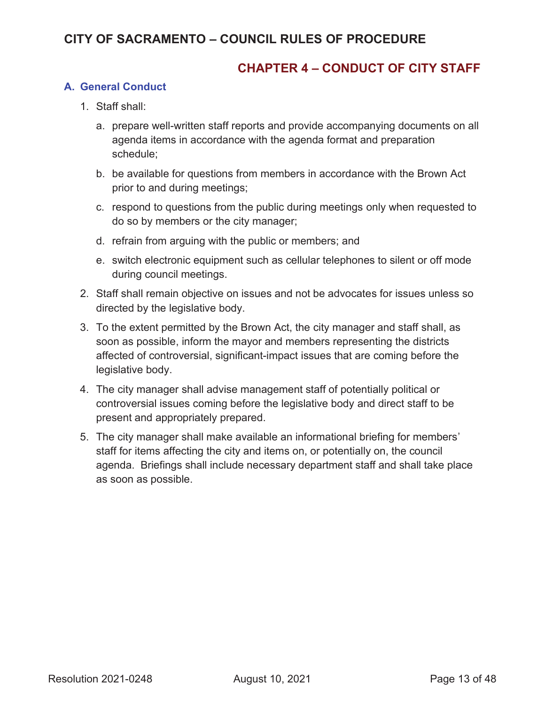### **CHAPTER 4 – CONDUCT OF CITY STAFF**

#### **A. General Conduct**

- 1. Staff shall:
	- a. prepare well-written staff reports and provide accompanying documents on all agenda items in accordance with the agenda format and preparation schedule;
	- b. be available for questions from members in accordance with the Brown Act prior to and during meetings;
	- c. respond to questions from the public during meetings only when requested to do so by members or the city manager;
	- d. refrain from arguing with the public or members; and
	- e. switch electronic equipment such as cellular telephones to silent or off mode during council meetings.
- 2. Staff shall remain objective on issues and not be advocates for issues unless so directed by the legislative body.
- 3. To the extent permitted by the Brown Act, the city manager and staff shall, as soon as possible, inform the mayor and members representing the districts affected of controversial, significant-impact issues that are coming before the legislative body.
- 4. The city manager shall advise management staff of potentially political or controversial issues coming before the legislative body and direct staff to be present and appropriately prepared.
- 5. The city manager shall make available an informational briefing for members' staff for items affecting the city and items on, or potentially on, the council agenda. Briefings shall include necessary department staff and shall take place as soon as possible.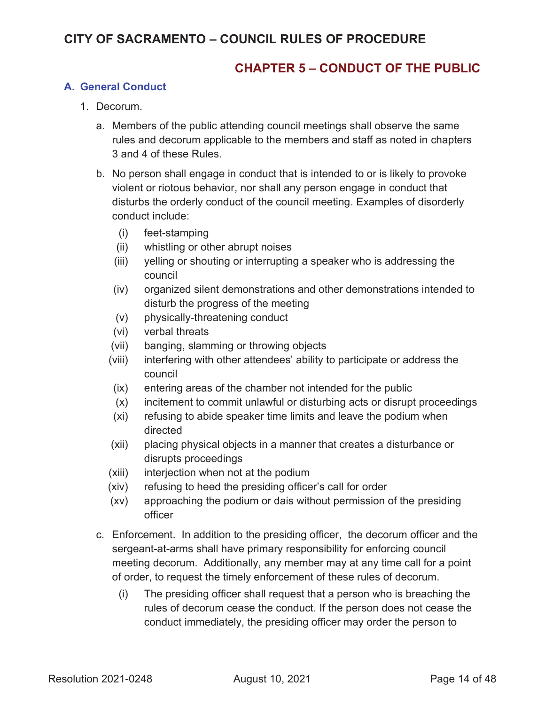### **CHAPTER 5 – CONDUCT OF THE PUBLIC**

#### **A. General Conduct**

- 1. Decorum.
	- a. Members of the public attending council meetings shall observe the same rules and decorum applicable to the members and staff as noted in chapters 3 and 4 of these Rules.
	- b. No person shall engage in conduct that is intended to or is likely to provoke violent or riotous behavior, nor shall any person engage in conduct that disturbs the orderly conduct of the council meeting. Examples of disorderly conduct include:
		- (i) feet-stamping
		- (ii) whistling or other abrupt noises
		- (iii) yelling or shouting or interrupting a speaker who is addressing the council
		- (iv) organized silent demonstrations and other demonstrations intended to disturb the progress of the meeting
		- (v) physically-threatening conduct
		- (vi) verbal threats
		- (vii) banging, slamming or throwing objects
		- (viii) interfering with other attendees' ability to participate or address the council
		- (ix) entering areas of the chamber not intended for the public
		- (x) incitement to commit unlawful or disturbing acts or disrupt proceedings
		- (xi) refusing to abide speaker time limits and leave the podium when directed
		- (xii) placing physical objects in a manner that creates a disturbance or disrupts proceedings
		- (xiii) interjection when not at the podium
		- (xiv) refusing to heed the presiding officer's call for order
		- (xv) approaching the podium or dais without permission of the presiding officer
	- c. Enforcement. In addition to the presiding officer, the decorum officer and the sergeant-at-arms shall have primary responsibility for enforcing council meeting decorum. Additionally, any member may at any time call for a point of order, to request the timely enforcement of these rules of decorum.
		- (i) The presiding officer shall request that a person who is breaching the rules of decorum cease the conduct. If the person does not cease the conduct immediately, the presiding officer may order the person to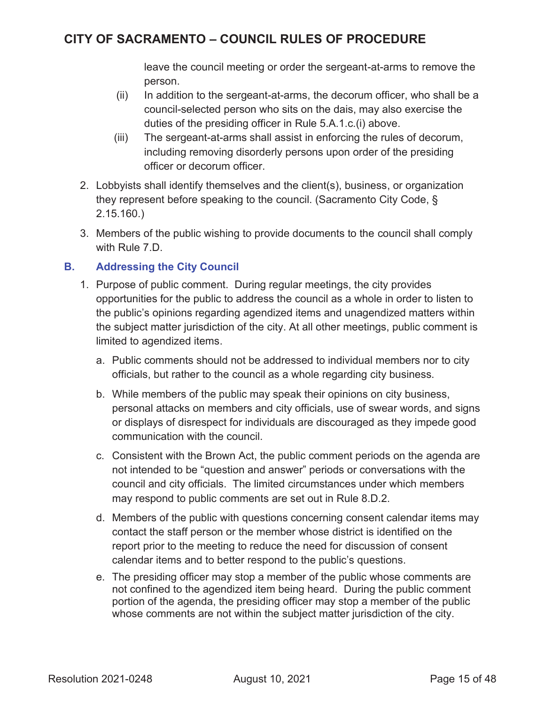leave the council meeting or order the sergeant-at-arms to remove the person.

- (ii) In addition to the sergeant-at-arms, the decorum officer, who shall be a council-selected person who sits on the dais, may also exercise the duties of the presiding officer in Rule 5.A.1.c.(i) above.
- (iii) The sergeant-at-arms shall assist in enforcing the rules of decorum, including removing disorderly persons upon order of the presiding officer or decorum officer.
- 2. Lobbyists shall identify themselves and the client(s), business, or organization they represent before speaking to the council. (Sacramento City Code, § 2.15.160.)
- 3. Members of the public wishing to provide documents to the council shall comply with Rule 7.D.

#### **B. Addressing the City Council**

- 1. Purpose of public comment. During regular meetings, the city provides opportunities for the public to address the council as a whole in order to listen to the public's opinions regarding agendized items and unagendized matters within the subject matter jurisdiction of the city. At all other meetings, public comment is limited to agendized items.
	- a. Public comments should not be addressed to individual members nor to city officials, but rather to the council as a whole regarding city business.
	- b. While members of the public may speak their opinions on city business, personal attacks on members and city officials, use of swear words, and signs or displays of disrespect for individuals are discouraged as they impede good communication with the council.
	- c. Consistent with the Brown Act, the public comment periods on the agenda are not intended to be "question and answer" periods or conversations with the council and city officials. The limited circumstances under which members may respond to public comments are set out in Rule 8.D.2.
	- d. Members of the public with questions concerning consent calendar items may contact the staff person or the member whose district is identified on the report prior to the meeting to reduce the need for discussion of consent calendar items and to better respond to the public's questions.
	- e. The presiding officer may stop a member of the public whose comments are not confined to the agendized item being heard. During the public comment portion of the agenda, the presiding officer may stop a member of the public whose comments are not within the subject matter jurisdiction of the city.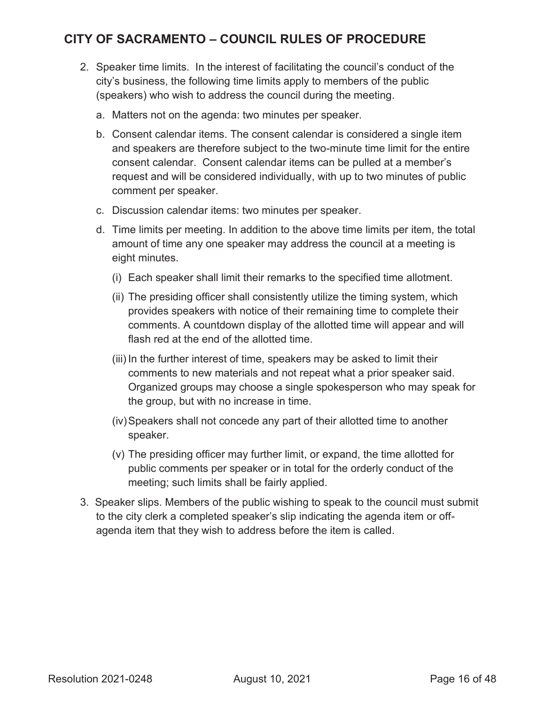- 2. Speaker time limits. In the interest of facilitating the council's conduct of the city's business, the following time limits apply to members of the public (speakers) who wish to address the council during the meeting.
	- a. Matters not on the agenda: two minutes per speaker.
	- b. Consent calendar items. The consent calendar is considered a single item and speakers are therefore subject to the two-minute time limit for the entire consent calendar. Consent calendar items can be pulled at a member's request and will be considered individually, with up to two minutes of public comment per speaker.
	- c. Discussion calendar items: two minutes per speaker.
	- d. Time limits per meeting. In addition to the above time limits per item, the total amount of time any one speaker may address the council at a meeting is eight minutes.
		- (i) Each speaker shall limit their remarks to the specified time allotment.
		- (ii) The presiding officer shall consistently utilize the timing system, which provides speakers with notice of their remaining time to complete their comments. A countdown display of the allotted time will appear and will flash red at the end of the allotted time.
		- (iii) In the further interest of time, speakers may be asked to limit their comments to new materials and not repeat what a prior speaker said. Organized groups may choose a single spokesperson who may speak for the group, but with no increase in time.
		- (iv)Speakers shall not concede any part of their allotted time to another speaker.
		- (v) The presiding officer may further limit, or expand, the time allotted for public comments per speaker or in total for the orderly conduct of the meeting; such limits shall be fairly applied.
- 3. Speaker slips. Members of the public wishing to speak to the council must submit to the city clerk a completed speaker's slip indicating the agenda item or offagenda item that they wish to address before the item is called.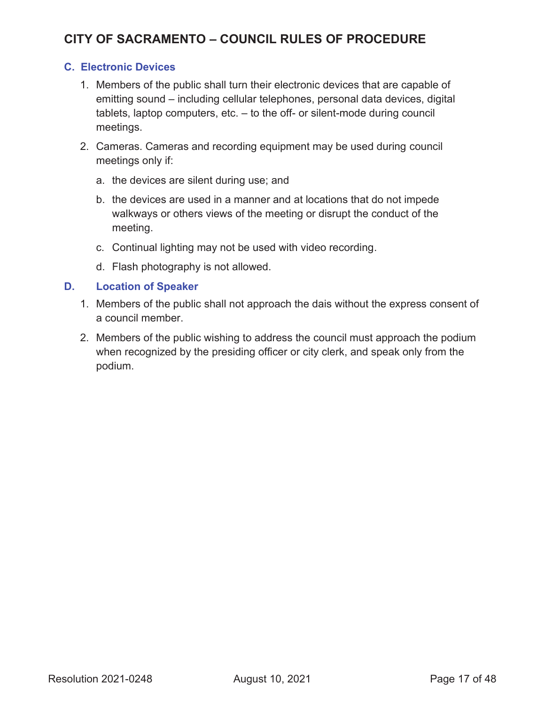#### **C. Electronic Devices**

- 1. Members of the public shall turn their electronic devices that are capable of emitting sound – including cellular telephones, personal data devices, digital tablets, laptop computers, etc. – to the off- or silent-mode during council meetings.
- 2. Cameras. Cameras and recording equipment may be used during council meetings only if:
	- a. the devices are silent during use; and
	- b. the devices are used in a manner and at locations that do not impede walkways or others views of the meeting or disrupt the conduct of the meeting.
	- c. Continual lighting may not be used with video recording.
	- d. Flash photography is not allowed.

#### **D. Location of Speaker**

- 1. Members of the public shall not approach the dais without the express consent of a council member.
- 2. Members of the public wishing to address the council must approach the podium when recognized by the presiding officer or city clerk, and speak only from the podium.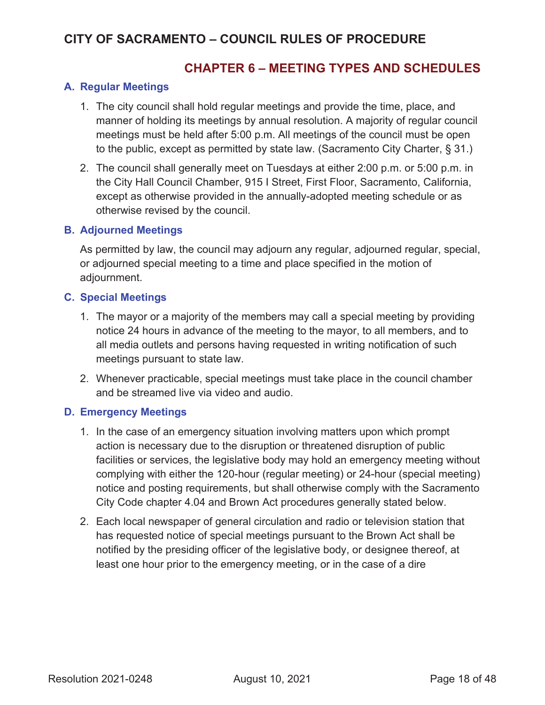### **CHAPTER 6 – MEETING TYPES AND SCHEDULES**

#### **A. Regular Meetings**

- 1. The city council shall hold regular meetings and provide the time, place, and manner of holding its meetings by annual resolution. A majority of regular council meetings must be held after 5:00 p.m. All meetings of the council must be open to the public, except as permitted by state law. (Sacramento City Charter, § 31.)
- 2. The council shall generally meet on Tuesdays at either 2:00 p.m. or 5:00 p.m. in the City Hall Council Chamber, 915 I Street, First Floor, Sacramento, California, except as otherwise provided in the annually-adopted meeting schedule or as otherwise revised by the council.

#### **B. Adjourned Meetings**

As permitted by law, the council may adjourn any regular, adjourned regular, special, or adjourned special meeting to a time and place specified in the motion of adjournment.

#### **C. Special Meetings**

- 1. The mayor or a majority of the members may call a special meeting by providing notice 24 hours in advance of the meeting to the mayor, to all members, and to all media outlets and persons having requested in writing notification of such meetings pursuant to state law.
- 2. Whenever practicable, special meetings must take place in the council chamber and be streamed live via video and audio.

#### **D. Emergency Meetings**

- 1. In the case of an emergency situation involving matters upon which prompt action is necessary due to the disruption or threatened disruption of public facilities or services, the legislative body may hold an emergency meeting without complying with either the 120-hour (regular meeting) or 24-hour (special meeting) notice and posting requirements, but shall otherwise comply with the Sacramento City Code chapter 4.04 and Brown Act procedures generally stated below.
- 2. Each local newspaper of general circulation and radio or television station that has requested notice of special meetings pursuant to the Brown Act shall be notified by the presiding officer of the legislative body, or designee thereof, at least one hour prior to the emergency meeting, or in the case of a dire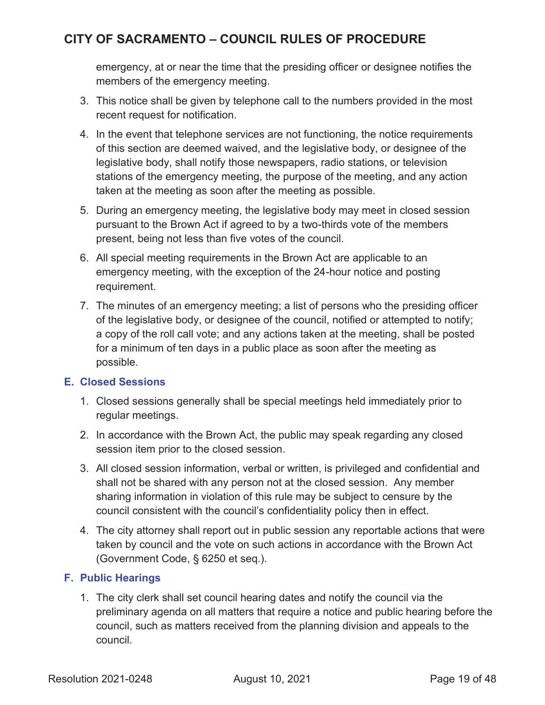emergency, at or near the time that the presiding officer or designee notifies the members of the emergency meeting.

- 3. This notice shall be given by telephone call to the numbers provided in the most recent request for notification.
- 4. In the event that telephone services are not functioning, the notice requirements of this section are deemed waived, and the legislative body, or designee of the legislative body, shall notify those newspapers, radio stations, or television stations of the emergency meeting, the purpose of the meeting, and any action taken at the meeting as soon after the meeting as possible.
- 5. During an emergency meeting, the legislative body may meet in closed session pursuant to the Brown Act if agreed to by a two-thirds vote of the members present, being not less than five votes of the council.
- 6. All special meeting requirements in the Brown Act are applicable to an emergency meeting, with the exception of the 24-hour notice and posting requirement.
- 7. The minutes of an emergency meeting; a list of persons who the presiding officer of the legislative body, or designee of the council, notified or attempted to notify; a copy of the roll call vote; and any actions taken at the meeting, shall be posted for a minimum of ten days in a public place as soon after the meeting as possible.

#### **E. Closed Sessions**

- 1. Closed sessions generally shall be special meetings held immediately prior to regular meetings.
- 2. In accordance with the Brown Act, the public may speak regarding any closed session item prior to the closed session.
- 3. All closed session information, verbal or written, is privileged and confidential and shall not be shared with any person not at the closed session. Any member sharing information in violation of this rule may be subject to censure by the council consistent with the council's confidentiality policy then in effect.
- 4. The city attorney shall report out in public session any reportable actions that were taken by council and the vote on such actions in accordance with the Brown Act (Government Code, § 6250 et seq.).

#### **F. Public Hearings**

1. The city clerk shall set council hearing dates and notify the council via the preliminary agenda on all matters that require a notice and public hearing before the council, such as matters received from the planning division and appeals to the council.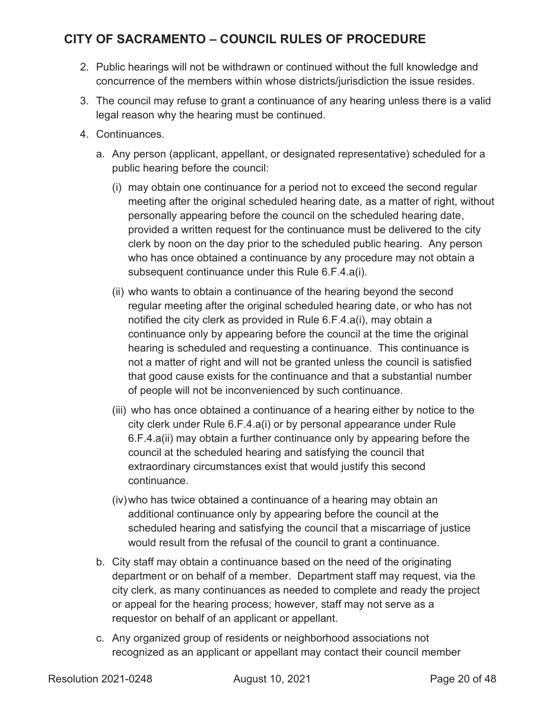- 2. Public hearings will not be withdrawn or continued without the full knowledge and concurrence of the members within whose districts/jurisdiction the issue resides.
- 3. The council may refuse to grant a continuance of any hearing unless there is a valid legal reason why the hearing must be continued.
- 4. Continuances.
	- a. Any person (applicant, appellant, or designated representative) scheduled for a public hearing before the council:
		- (i) may obtain one continuance for a period not to exceed the second regular meeting after the original scheduled hearing date, as a matter of right, without personally appearing before the council on the scheduled hearing date, provided a written request for the continuance must be delivered to the city clerk by noon on the day prior to the scheduled public hearing. Any person who has once obtained a continuance by any procedure may not obtain a subsequent continuance under this Rule 6.F.4.a(i).
		- (ii) who wants to obtain a continuance of the hearing beyond the second regular meeting after the original scheduled hearing date, or who has not notified the city clerk as provided in Rule 6.F.4.a(i), may obtain a continuance only by appearing before the council at the time the original hearing is scheduled and requesting a continuance. This continuance is not a matter of right and will not be granted unless the council is satisfied that good cause exists for the continuance and that a substantial number of people will not be inconvenienced by such continuance.
		- (iii) who has once obtained a continuance of a hearing either by notice to the city clerk under Rule 6.F.4.a(i) or by personal appearance under Rule 6.F.4.a(ii) may obtain a further continuance only by appearing before the council at the scheduled hearing and satisfying the council that extraordinary circumstances exist that would justify this second continuance.
		- (iv)who has twice obtained a continuance of a hearing may obtain an additional continuance only by appearing before the council at the scheduled hearing and satisfying the council that a miscarriage of justice would result from the refusal of the council to grant a continuance.
	- b. City staff may obtain a continuance based on the need of the originating department or on behalf of a member. Department staff may request, via the city clerk, as many continuances as needed to complete and ready the project or appeal for the hearing process; however, staff may not serve as a requestor on behalf of an applicant or appellant.
	- c. Any organized group of residents or neighborhood associations not recognized as an applicant or appellant may contact their council member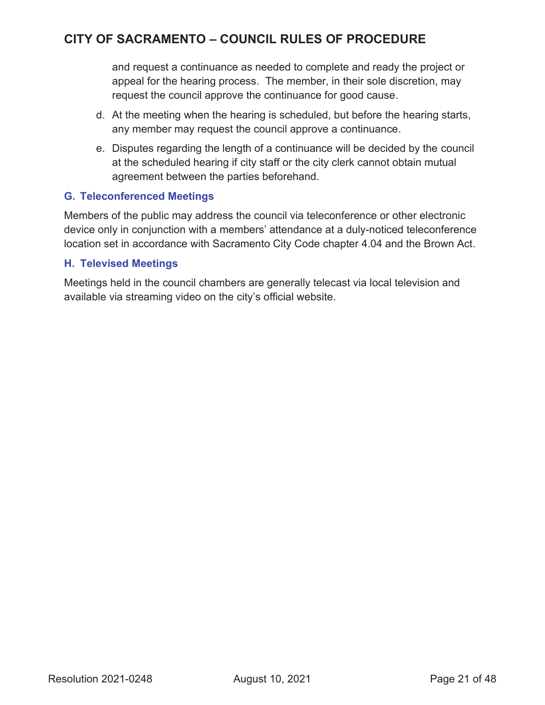and request a continuance as needed to complete and ready the project or appeal for the hearing process. The member, in their sole discretion, may request the council approve the continuance for good cause.

- d. At the meeting when the hearing is scheduled, but before the hearing starts, any member may request the council approve a continuance.
- e. Disputes regarding the length of a continuance will be decided by the council at the scheduled hearing if city staff or the city clerk cannot obtain mutual agreement between the parties beforehand.

#### **G. Teleconferenced Meetings**

Members of the public may address the council via teleconference or other electronic device only in conjunction with a members' attendance at a duly-noticed teleconference location set in accordance with Sacramento City Code chapter 4.04 and the Brown Act.

#### **H. Televised Meetings**

Meetings held in the council chambers are generally telecast via local television and available via streaming video on the city's official website.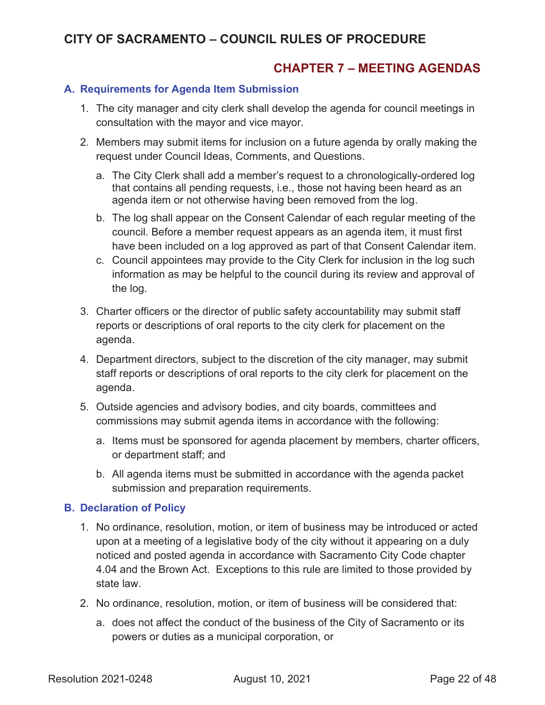### **CHAPTER 7 – MEETING AGENDAS**

#### **A. Requirements for Agenda Item Submission**

- 1. The city manager and city clerk shall develop the agenda for council meetings in consultation with the mayor and vice mayor.
- 2. Members may submit items for inclusion on a future agenda by orally making the request under Council Ideas, Comments, and Questions.
	- a. The City Clerk shall add a member's request to a chronologically-ordered log that contains all pending requests, i.e., those not having been heard as an agenda item or not otherwise having been removed from the log.
	- b. The log shall appear on the Consent Calendar of each regular meeting of the council. Before a member request appears as an agenda item, it must first have been included on a log approved as part of that Consent Calendar item.
	- c. Council appointees may provide to the City Clerk for inclusion in the log such information as may be helpful to the council during its review and approval of the log.
- 3. Charter officers or the director of public safety accountability may submit staff reports or descriptions of oral reports to the city clerk for placement on the agenda.
- 4. Department directors, subject to the discretion of the city manager, may submit staff reports or descriptions of oral reports to the city clerk for placement on the agenda.
- 5. Outside agencies and advisory bodies, and city boards, committees and commissions may submit agenda items in accordance with the following:
	- a. Items must be sponsored for agenda placement by members, charter officers, or department staff; and
	- b. All agenda items must be submitted in accordance with the agenda packet submission and preparation requirements.

#### **B. Declaration of Policy**

- 1. No ordinance, resolution, motion, or item of business may be introduced or acted upon at a meeting of a legislative body of the city without it appearing on a duly noticed and posted agenda in accordance with Sacramento City Code chapter 4.04 and the Brown Act. Exceptions to this rule are limited to those provided by state law.
- 2. No ordinance, resolution, motion, or item of business will be considered that:
	- a. does not affect the conduct of the business of the City of Sacramento or its powers or duties as a municipal corporation, or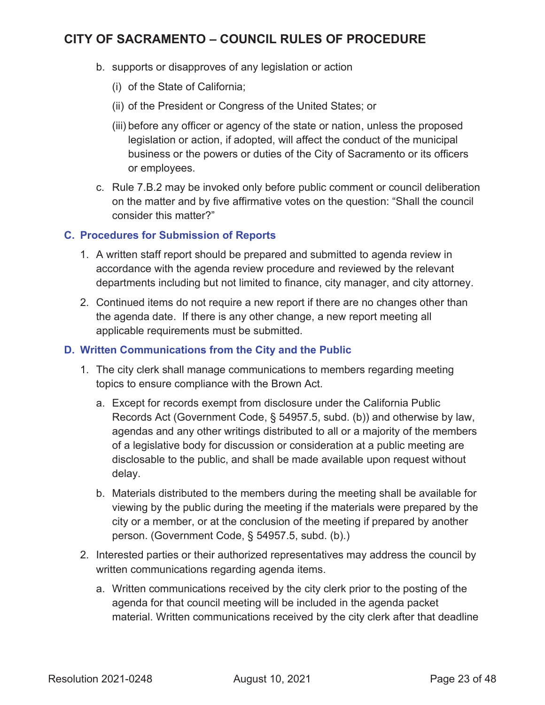- b. supports or disapproves of any legislation or action
	- (i) of the State of California;
	- (ii) of the President or Congress of the United States; or
	- (iii) before any officer or agency of the state or nation, unless the proposed legislation or action, if adopted, will affect the conduct of the municipal business or the powers or duties of the City of Sacramento or its officers or employees.
- c. Rule 7.B.2 may be invoked only before public comment or council deliberation on the matter and by five affirmative votes on the question: "Shall the council consider this matter?"

#### **C. Procedures for Submission of Reports**

- 1. A written staff report should be prepared and submitted to agenda review in accordance with the agenda review procedure and reviewed by the relevant departments including but not limited to finance, city manager, and city attorney.
- 2. Continued items do not require a new report if there are no changes other than the agenda date. If there is any other change, a new report meeting all applicable requirements must be submitted.

#### **D. Written Communications from the City and the Public**

- 1. The city clerk shall manage communications to members regarding meeting topics to ensure compliance with the Brown Act.
	- a. Except for records exempt from disclosure under the California Public Records Act (Government Code, § 54957.5, subd. (b)) and otherwise by law, agendas and any other writings distributed to all or a majority of the members of a legislative body for discussion or consideration at a public meeting are disclosable to the public, and shall be made available upon request without delay.
	- b. Materials distributed to the members during the meeting shall be available for viewing by the public during the meeting if the materials were prepared by the city or a member, or at the conclusion of the meeting if prepared by another person. (Government Code, § 54957.5, subd. (b).)
- 2. Interested parties or their authorized representatives may address the council by written communications regarding agenda items.
	- a. Written communications received by the city clerk prior to the posting of the agenda for that council meeting will be included in the agenda packet material. Written communications received by the city clerk after that deadline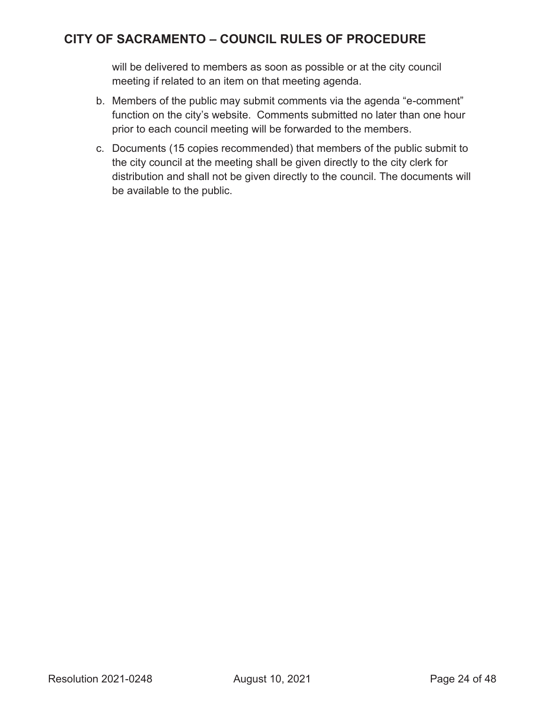will be delivered to members as soon as possible or at the city council meeting if related to an item on that meeting agenda.

- b. Members of the public may submit comments via the agenda "e-comment" function on the city's website. Comments submitted no later than one hour prior to each council meeting will be forwarded to the members.
- c. Documents (15 copies recommended) that members of the public submit to the city council at the meeting shall be given directly to the city clerk for distribution and shall not be given directly to the council. The documents will be available to the public.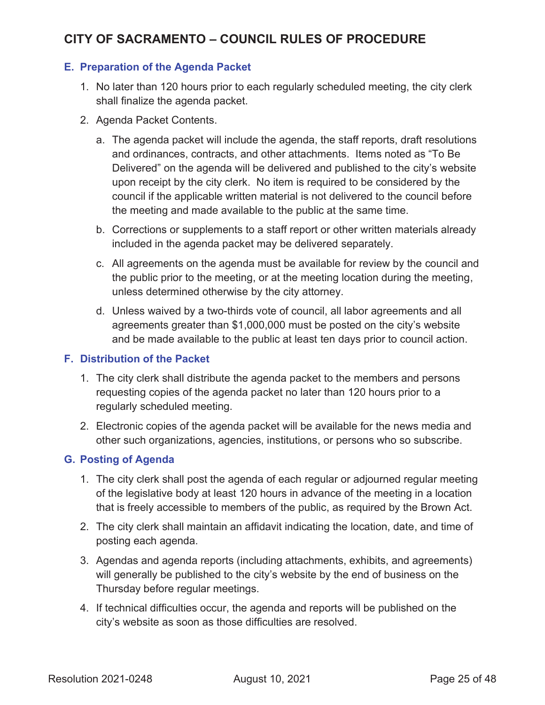#### **E. Preparation of the Agenda Packet**

- 1. No later than 120 hours prior to each regularly scheduled meeting, the city clerk shall finalize the agenda packet.
- 2. Agenda Packet Contents.
	- a. The agenda packet will include the agenda, the staff reports, draft resolutions and ordinances, contracts, and other attachments. Items noted as "To Be Delivered" on the agenda will be delivered and published to the city's website upon receipt by the city clerk. No item is required to be considered by the council if the applicable written material is not delivered to the council before the meeting and made available to the public at the same time.
	- b. Corrections or supplements to a staff report or other written materials already included in the agenda packet may be delivered separately.
	- c. All agreements on the agenda must be available for review by the council and the public prior to the meeting, or at the meeting location during the meeting, unless determined otherwise by the city attorney.
	- d. Unless waived by a two-thirds vote of council, all labor agreements and all agreements greater than \$1,000,000 must be posted on the city's website and be made available to the public at least ten days prior to council action.

#### **F. Distribution of the Packet**

- 1. The city clerk shall distribute the agenda packet to the members and persons requesting copies of the agenda packet no later than 120 hours prior to a regularly scheduled meeting.
- 2. Electronic copies of the agenda packet will be available for the news media and other such organizations, agencies, institutions, or persons who so subscribe.

#### **G. Posting of Agenda**

- 1. The city clerk shall post the agenda of each regular or adjourned regular meeting of the legislative body at least 120 hours in advance of the meeting in a location that is freely accessible to members of the public, as required by the Brown Act.
- 2. The city clerk shall maintain an affidavit indicating the location, date, and time of posting each agenda.
- 3. Agendas and agenda reports (including attachments, exhibits, and agreements) will generally be published to the city's website by the end of business on the Thursday before regular meetings.
- 4. If technical difficulties occur, the agenda and reports will be published on the city's website as soon as those difficulties are resolved.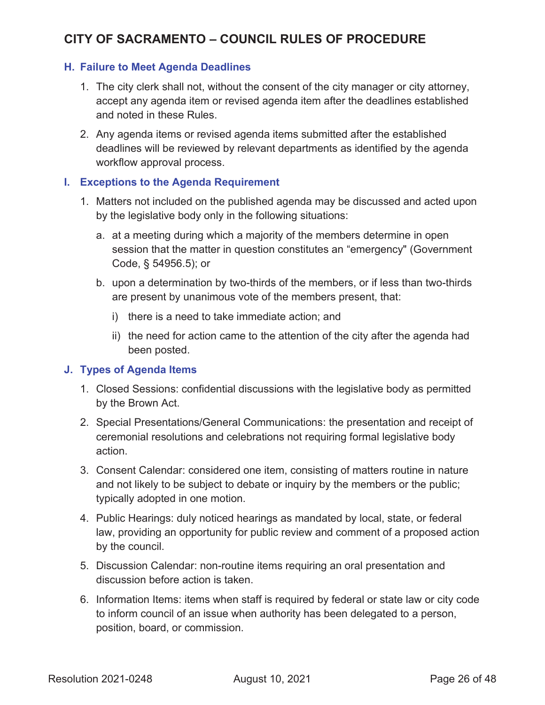#### **H. Failure to Meet Agenda Deadlines**

- 1. The city clerk shall not, without the consent of the city manager or city attorney, accept any agenda item or revised agenda item after the deadlines established and noted in these Rules.
- 2. Any agenda items or revised agenda items submitted after the established deadlines will be reviewed by relevant departments as identified by the agenda workflow approval process.

#### **I. Exceptions to the Agenda Requirement**

- 1. Matters not included on the published agenda may be discussed and acted upon by the legislative body only in the following situations:
	- a. at a meeting during which a majority of the members determine in open session that the matter in question constitutes an "emergency" (Government Code, § 54956.5); or
	- b. upon a determination by two-thirds of the members, or if less than two-thirds are present by unanimous vote of the members present, that:
		- i) there is a need to take immediate action; and
		- ii) the need for action came to the attention of the city after the agenda had been posted.

#### **J. Types of Agenda Items**

- 1. Closed Sessions: confidential discussions with the legislative body as permitted by the Brown Act.
- 2. Special Presentations/General Communications: the presentation and receipt of ceremonial resolutions and celebrations not requiring formal legislative body action.
- 3. Consent Calendar: considered one item, consisting of matters routine in nature and not likely to be subject to debate or inquiry by the members or the public; typically adopted in one motion.
- 4. Public Hearings: duly noticed hearings as mandated by local, state, or federal law, providing an opportunity for public review and comment of a proposed action by the council.
- 5. Discussion Calendar: non-routine items requiring an oral presentation and discussion before action is taken.
- 6. Information Items: items when staff is required by federal or state law or city code to inform council of an issue when authority has been delegated to a person, position, board, or commission.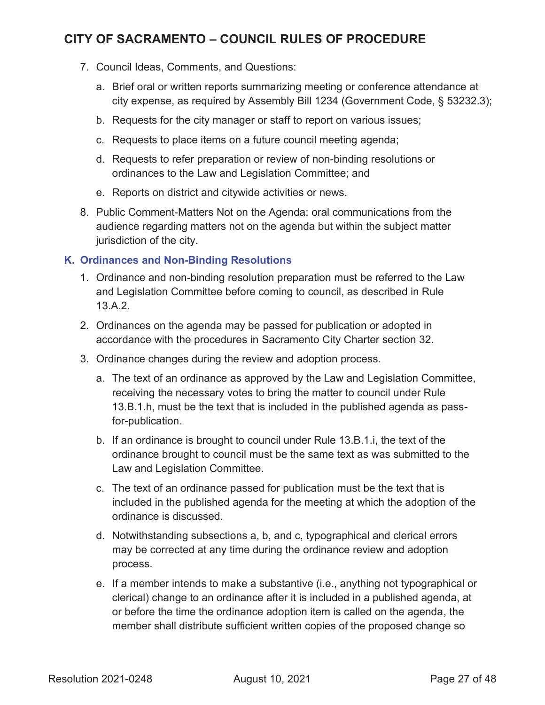- 7. Council Ideas, Comments, and Questions:
	- a. Brief oral or written reports summarizing meeting or conference attendance at city expense, as required by Assembly Bill 1234 (Government Code, § 53232.3);
	- b. Requests for the city manager or staff to report on various issues;
	- c. Requests to place items on a future council meeting agenda;
	- d. Requests to refer preparation or review of non-binding resolutions or ordinances to the Law and Legislation Committee; and
	- e. Reports on district and citywide activities or news.
- 8. Public Comment-Matters Not on the Agenda: oral communications from the audience regarding matters not on the agenda but within the subject matter jurisdiction of the city.

#### **K. Ordinances and Non-Binding Resolutions**

- 1. Ordinance and non-binding resolution preparation must be referred to the Law and Legislation Committee before coming to council, as described in Rule 13.A.2.
- 2. Ordinances on the agenda may be passed for publication or adopted in accordance with the procedures in Sacramento City Charter section 32.
- 3. Ordinance changes during the review and adoption process.
	- a. The text of an ordinance as approved by the Law and Legislation Committee, receiving the necessary votes to bring the matter to council under Rule 13.B.1.h, must be the text that is included in the published agenda as passfor-publication.
	- b. If an ordinance is brought to council under Rule 13.B.1.i, the text of the ordinance brought to council must be the same text as was submitted to the Law and Legislation Committee.
	- c. The text of an ordinance passed for publication must be the text that is included in the published agenda for the meeting at which the adoption of the ordinance is discussed.
	- d. Notwithstanding subsections a, b, and c, typographical and clerical errors may be corrected at any time during the ordinance review and adoption process.
	- e. If a member intends to make a substantive (i.e., anything not typographical or clerical) change to an ordinance after it is included in a published agenda, at or before the time the ordinance adoption item is called on the agenda, the member shall distribute sufficient written copies of the proposed change so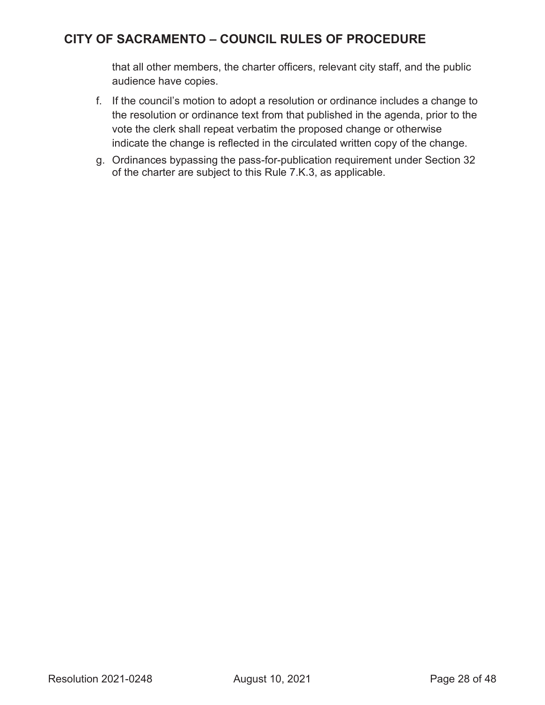that all other members, the charter officers, relevant city staff, and the public audience have copies.

- f. If the council's motion to adopt a resolution or ordinance includes a change to the resolution or ordinance text from that published in the agenda, prior to the vote the clerk shall repeat verbatim the proposed change or otherwise indicate the change is reflected in the circulated written copy of the change.
- g. Ordinances bypassing the pass-for-publication requirement under Section 32 of the charter are subject to this Rule 7.K.3, as applicable.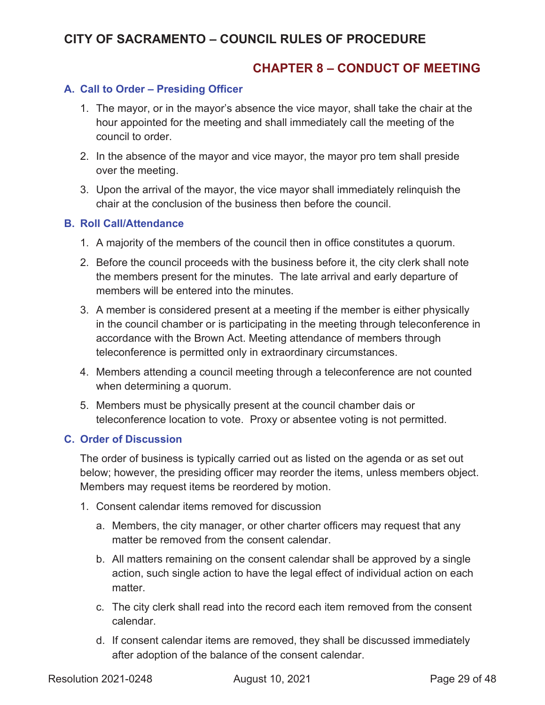### **CHAPTER 8 – CONDUCT OF MEETING**

#### **A. Call to Order – Presiding Officer**

- 1. The mayor, or in the mayor's absence the vice mayor, shall take the chair at the hour appointed for the meeting and shall immediately call the meeting of the council to order.
- 2. In the absence of the mayor and vice mayor, the mayor pro tem shall preside over the meeting.
- 3. Upon the arrival of the mayor, the vice mayor shall immediately relinquish the chair at the conclusion of the business then before the council.

#### **B. Roll Call/Attendance**

- 1. A majority of the members of the council then in office constitutes a quorum.
- 2. Before the council proceeds with the business before it, the city clerk shall note the members present for the minutes. The late arrival and early departure of members will be entered into the minutes.
- 3. A member is considered present at a meeting if the member is either physically in the council chamber or is participating in the meeting through teleconference in accordance with the Brown Act. Meeting attendance of members through teleconference is permitted only in extraordinary circumstances.
- 4. Members attending a council meeting through a teleconference are not counted when determining a quorum.
- 5. Members must be physically present at the council chamber dais or teleconference location to vote. Proxy or absentee voting is not permitted.

#### **C. Order of Discussion**

The order of business is typically carried out as listed on the agenda or as set out below; however, the presiding officer may reorder the items, unless members object. Members may request items be reordered by motion.

- 1. Consent calendar items removed for discussion
	- a. Members, the city manager, or other charter officers may request that any matter be removed from the consent calendar.
	- b. All matters remaining on the consent calendar shall be approved by a single action, such single action to have the legal effect of individual action on each matter.
	- c. The city clerk shall read into the record each item removed from the consent calendar.
	- d. If consent calendar items are removed, they shall be discussed immediately after adoption of the balance of the consent calendar.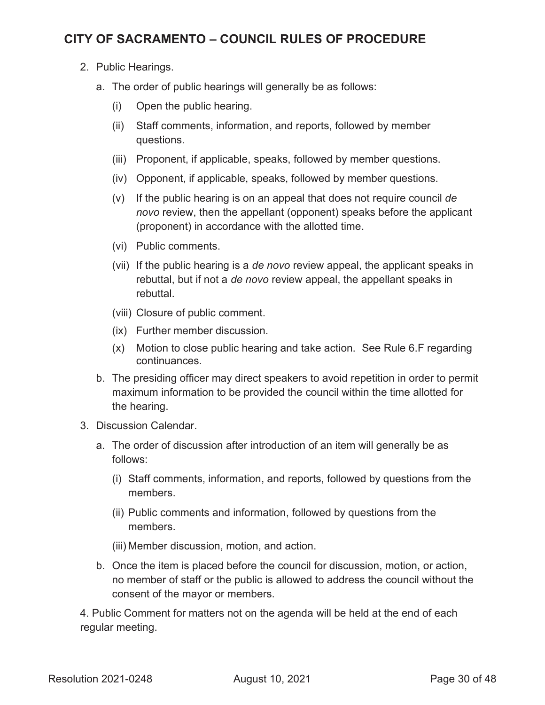- 2. Public Hearings.
	- a. The order of public hearings will generally be as follows:
		- (i) Open the public hearing.
		- (ii) Staff comments, information, and reports, followed by member questions.
		- (iii) Proponent, if applicable, speaks, followed by member questions.
		- (iv) Opponent, if applicable, speaks, followed by member questions.
		- (v) If the public hearing is on an appeal that does not require council *de novo* review, then the appellant (opponent) speaks before the applicant (proponent) in accordance with the allotted time.
		- (vi) Public comments.
		- (vii) If the public hearing is a *de novo* review appeal, the applicant speaks in rebuttal, but if not a *de novo* review appeal, the appellant speaks in rebuttal.
		- (viii) Closure of public comment.
		- (ix) Further member discussion.
		- (x) Motion to close public hearing and take action. See Rule 6.F regarding continuances.
	- b. The presiding officer may direct speakers to avoid repetition in order to permit maximum information to be provided the council within the time allotted for the hearing.
- 3. Discussion Calendar.
	- a. The order of discussion after introduction of an item will generally be as follows:
		- (i) Staff comments, information, and reports, followed by questions from the members.
		- (ii) Public comments and information, followed by questions from the members.
		- (iii) Member discussion, motion, and action.
	- b. Once the item is placed before the council for discussion, motion, or action, no member of staff or the public is allowed to address the council without the consent of the mayor or members.

4. Public Comment for matters not on the agenda will be held at the end of each regular meeting.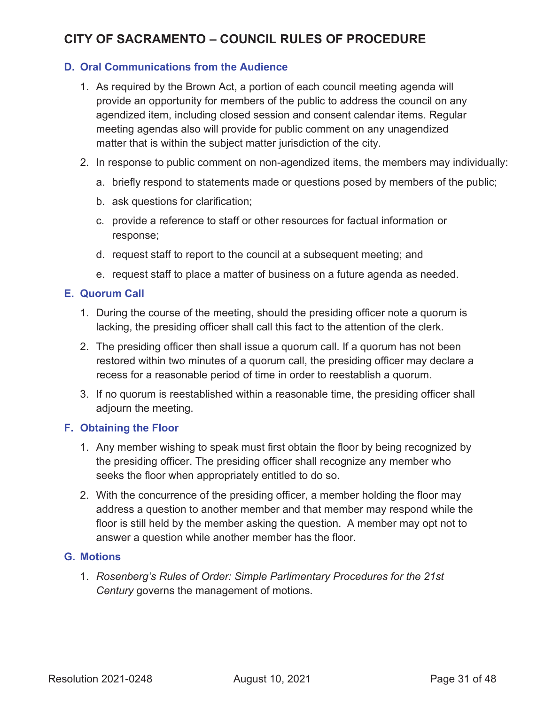#### **D. Oral Communications from the Audience**

- 1. As required by the Brown Act, a portion of each council meeting agenda will provide an opportunity for members of the public to address the council on any agendized item, including closed session and consent calendar items. Regular meeting agendas also will provide for public comment on any unagendized matter that is within the subject matter jurisdiction of the city.
- 2. In response to public comment on non-agendized items, the members may individually:
	- a. briefly respond to statements made or questions posed by members of the public;
	- b. ask questions for clarification;
	- c. provide a reference to staff or other resources for factual information or response;
	- d. request staff to report to the council at a subsequent meeting; and
	- e. request staff to place a matter of business on a future agenda as needed.

#### **E. Quorum Call**

- 1. During the course of the meeting, should the presiding officer note a quorum is lacking, the presiding officer shall call this fact to the attention of the clerk.
- 2. The presiding officer then shall issue a quorum call. If a quorum has not been restored within two minutes of a quorum call, the presiding officer may declare a recess for a reasonable period of time in order to reestablish a quorum.
- 3. If no quorum is reestablished within a reasonable time, the presiding officer shall adjourn the meeting.

#### **F. Obtaining the Floor**

- 1. Any member wishing to speak must first obtain the floor by being recognized by the presiding officer. The presiding officer shall recognize any member who seeks the floor when appropriately entitled to do so.
- 2. With the concurrence of the presiding officer, a member holding the floor may address a question to another member and that member may respond while the floor is still held by the member asking the question. A member may opt not to answer a question while another member has the floor.

#### **G. Motions**

1. *Rosenberg's Rules of Order: Simple Parlimentary Procedures for the 21st Century* governs the management of motions.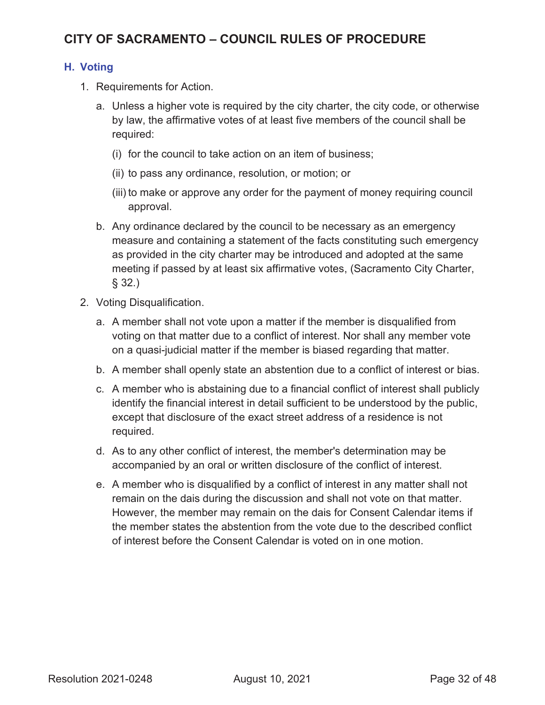#### **H. Voting**

- 1. Requirements for Action.
	- a. Unless a higher vote is required by the city charter, the city code, or otherwise by law, the affirmative votes of at least five members of the council shall be required:
		- (i) for the council to take action on an item of business;
		- (ii) to pass any ordinance, resolution, or motion; or
		- (iii) to make or approve any order for the payment of money requiring council approval.
	- b. Any ordinance declared by the council to be necessary as an emergency measure and containing a statement of the facts constituting such emergency as provided in the city charter may be introduced and adopted at the same meeting if passed by at least six affirmative votes, (Sacramento City Charter, § 32.)
- 2. Voting Disqualification.
	- a. A member shall not vote upon a matter if the member is disqualified from voting on that matter due to a conflict of interest. Nor shall any member vote on a quasi-judicial matter if the member is biased regarding that matter.
	- b. A member shall openly state an abstention due to a conflict of interest or bias.
	- c. A member who is abstaining due to a financial conflict of interest shall publicly identify the financial interest in detail sufficient to be understood by the public, except that disclosure of the exact street address of a residence is not required.
	- d. As to any other conflict of interest, the member's determination may be accompanied by an oral or written disclosure of the conflict of interest.
	- e. A member who is disqualified by a conflict of interest in any matter shall not remain on the dais during the discussion and shall not vote on that matter. However, the member may remain on the dais for Consent Calendar items if the member states the abstention from the vote due to the described conflict of interest before the Consent Calendar is voted on in one motion.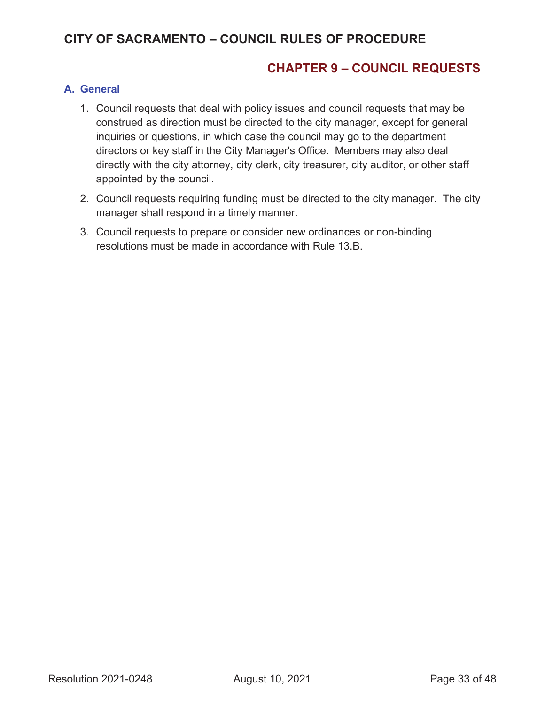### **CHAPTER 9 – COUNCIL REQUESTS**

#### **A. General**

- 1. Council requests that deal with policy issues and council requests that may be construed as direction must be directed to the city manager, except for general inquiries or questions, in which case the council may go to the department directors or key staff in the City Manager's Office. Members may also deal directly with the city attorney, city clerk, city treasurer, city auditor, or other staff appointed by the council.
- 2. Council requests requiring funding must be directed to the city manager. The city manager shall respond in a timely manner.
- 3. Council requests to prepare or consider new ordinances or non-binding resolutions must be made in accordance with Rule 13.B.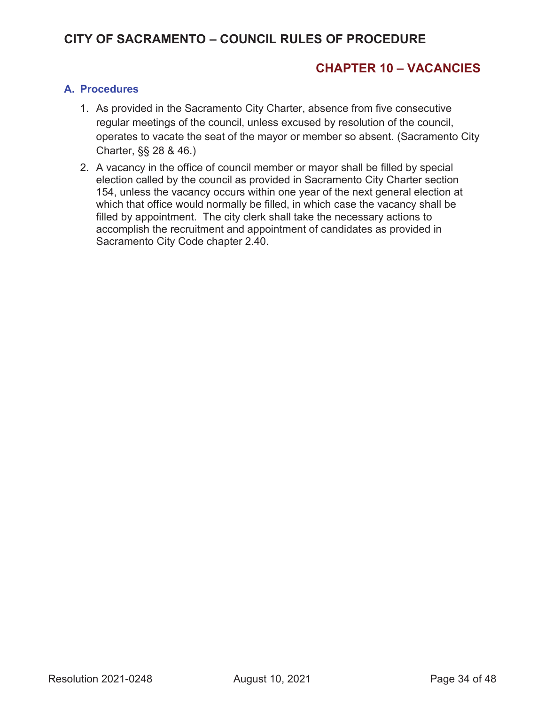### **CHAPTER 10 – VACANCIES**

#### **A. Procedures**

- 1. As provided in the Sacramento City Charter, absence from five consecutive regular meetings of the council, unless excused by resolution of the council, operates to vacate the seat of the mayor or member so absent. (Sacramento City Charter, §§ 28 & 46.)
- 2. A vacancy in the office of council member or mayor shall be filled by special election called by the council as provided in Sacramento City Charter section 154, unless the vacancy occurs within one year of the next general election at which that office would normally be filled, in which case the vacancy shall be filled by appointment. The city clerk shall take the necessary actions to accomplish the recruitment and appointment of candidates as provided in Sacramento City Code chapter 2.40.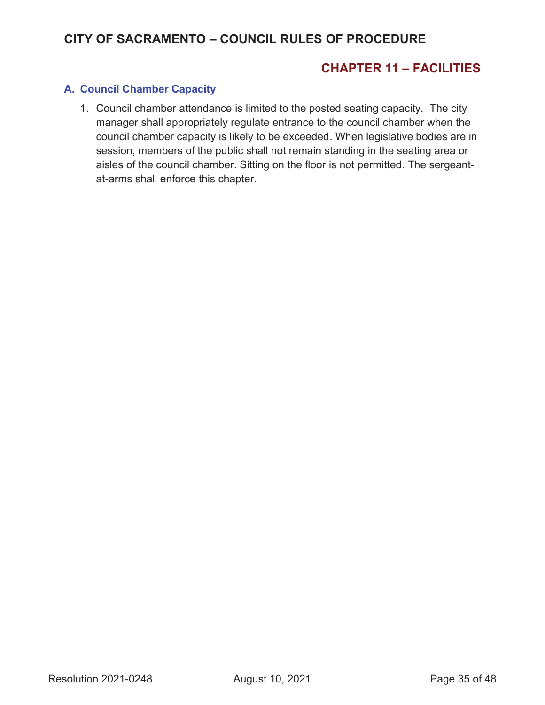### **CHAPTER 11 – FACILITIES**

#### **A. Council Chamber Capacity**

1. Council chamber attendance is limited to the posted seating capacity. The city manager shall appropriately regulate entrance to the council chamber when the council chamber capacity is likely to be exceeded. When legislative bodies are in session, members of the public shall not remain standing in the seating area or aisles of the council chamber. Sitting on the floor is not permitted. The sergeantat-arms shall enforce this chapter.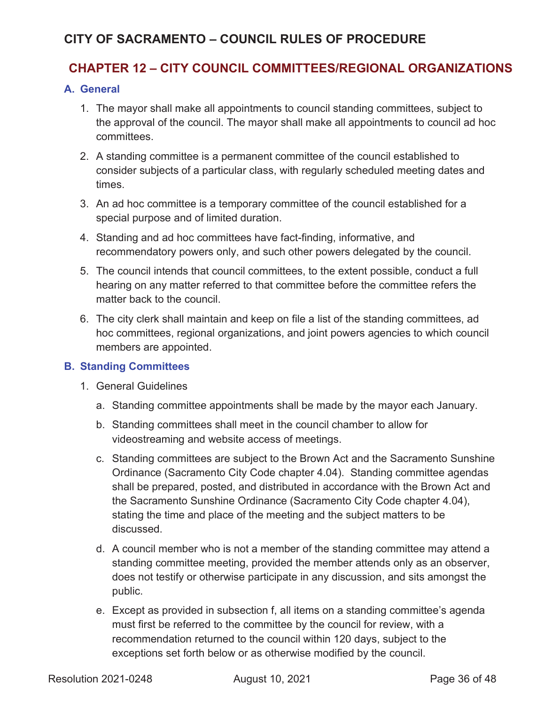### **CHAPTER 12 – CITY COUNCIL COMMITTEES/REGIONAL ORGANIZATIONS**

#### **A. General**

- 1. The mayor shall make all appointments to council standing committees, subject to the approval of the council. The mayor shall make all appointments to council ad hoc committees.
- 2. A standing committee is a permanent committee of the council established to consider subjects of a particular class, with regularly scheduled meeting dates and times.
- 3. An ad hoc committee is a temporary committee of the council established for a special purpose and of limited duration.
- 4. Standing and ad hoc committees have fact-finding, informative, and recommendatory powers only, and such other powers delegated by the council.
- 5. The council intends that council committees, to the extent possible, conduct a full hearing on any matter referred to that committee before the committee refers the matter back to the council.
- 6. The city clerk shall maintain and keep on file a list of the standing committees, ad hoc committees, regional organizations, and joint powers agencies to which council members are appointed.

#### **B. Standing Committees**

- 1. General Guidelines
	- a. Standing committee appointments shall be made by the mayor each January.
	- b. Standing committees shall meet in the council chamber to allow for videostreaming and website access of meetings.
	- c. Standing committees are subject to the Brown Act and the Sacramento Sunshine Ordinance (Sacramento City Code chapter 4.04). Standing committee agendas shall be prepared, posted, and distributed in accordance with the Brown Act and the Sacramento Sunshine Ordinance (Sacramento City Code chapter 4.04), stating the time and place of the meeting and the subject matters to be discussed.
	- d. A council member who is not a member of the standing committee may attend a standing committee meeting, provided the member attends only as an observer, does not testify or otherwise participate in any discussion, and sits amongst the public.
	- e. Except as provided in subsection f, all items on a standing committee's agenda must first be referred to the committee by the council for review, with a recommendation returned to the council within 120 days, subject to the exceptions set forth below or as otherwise modified by the council.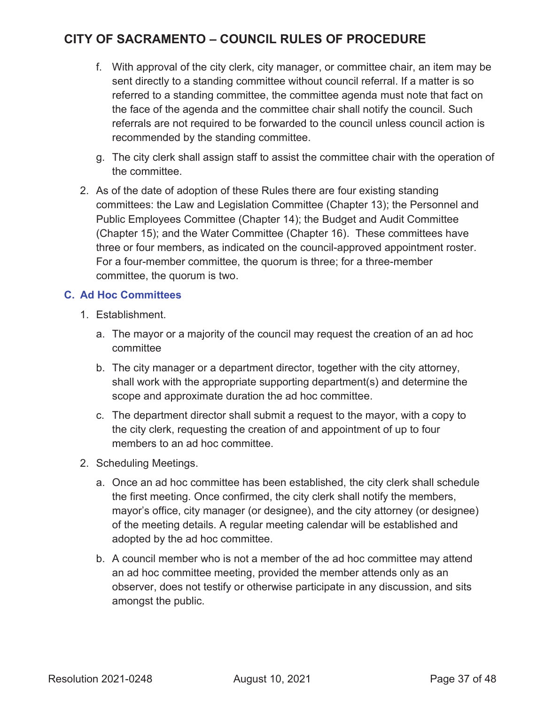- f. With approval of the city clerk, city manager, or committee chair, an item may be sent directly to a standing committee without council referral. If a matter is so referred to a standing committee, the committee agenda must note that fact on the face of the agenda and the committee chair shall notify the council. Such referrals are not required to be forwarded to the council unless council action is recommended by the standing committee.
- g. The city clerk shall assign staff to assist the committee chair with the operation of the committee.
- 2. As of the date of adoption of these Rules there are four existing standing committees: the Law and Legislation Committee (Chapter 13); the Personnel and Public Employees Committee (Chapter 14); the Budget and Audit Committee (Chapter 15); and the Water Committee (Chapter 16). These committees have three or four members, as indicated on the council-approved appointment roster. For a four-member committee, the quorum is three; for a three-member committee, the quorum is two.

#### **C. Ad Hoc Committees**

- 1. Establishment.
	- a. The mayor or a majority of the council may request the creation of an ad hoc committee
	- b. The city manager or a department director, together with the city attorney, shall work with the appropriate supporting department(s) and determine the scope and approximate duration the ad hoc committee.
	- c. The department director shall submit a request to the mayor, with a copy to the city clerk, requesting the creation of and appointment of up to four members to an ad hoc committee.
- 2. Scheduling Meetings.
	- a. Once an ad hoc committee has been established, the city clerk shall schedule the first meeting. Once confirmed, the city clerk shall notify the members, mayor's office, city manager (or designee), and the city attorney (or designee) of the meeting details. A regular meeting calendar will be established and adopted by the ad hoc committee.
	- b. A council member who is not a member of the ad hoc committee may attend an ad hoc committee meeting, provided the member attends only as an observer, does not testify or otherwise participate in any discussion, and sits amongst the public.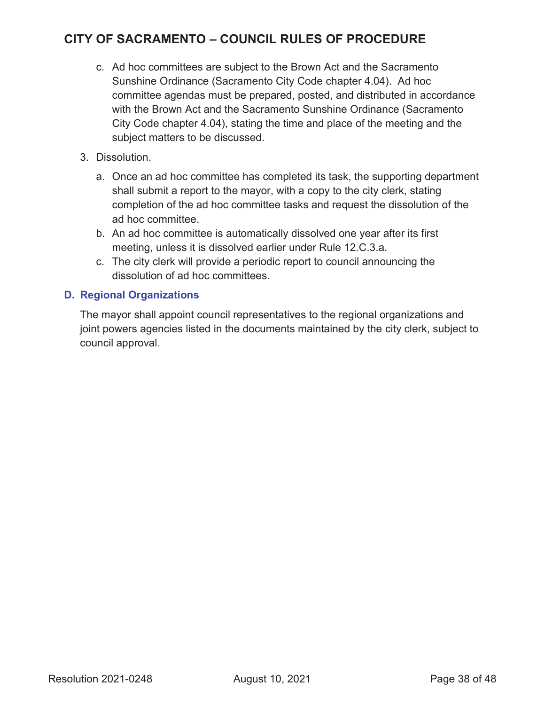- c. Ad hoc committees are subject to the Brown Act and the Sacramento Sunshine Ordinance (Sacramento City Code chapter 4.04). Ad hoc committee agendas must be prepared, posted, and distributed in accordance with the Brown Act and the Sacramento Sunshine Ordinance (Sacramento City Code chapter 4.04), stating the time and place of the meeting and the subject matters to be discussed.
- 3. Dissolution.
	- a. Once an ad hoc committee has completed its task, the supporting department shall submit a report to the mayor, with a copy to the city clerk, stating completion of the ad hoc committee tasks and request the dissolution of the ad hoc committee.
	- b. An ad hoc committee is automatically dissolved one year after its first meeting, unless it is dissolved earlier under Rule 12.C.3.a.
	- c. The city clerk will provide a periodic report to council announcing the dissolution of ad hoc committees.

#### **D. Regional Organizations**

The mayor shall appoint council representatives to the regional organizations and joint powers agencies listed in the documents maintained by the city clerk, subject to council approval.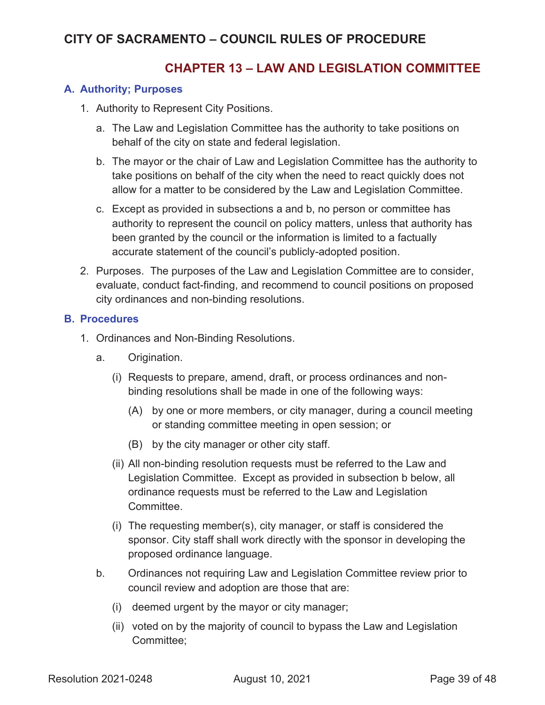### **CHAPTER 13 – LAW AND LEGISLATION COMMITTEE**

#### **A. Authority; Purposes**

- 1. Authority to Represent City Positions.
	- a. The Law and Legislation Committee has the authority to take positions on behalf of the city on state and federal legislation.
	- b. The mayor or the chair of Law and Legislation Committee has the authority to take positions on behalf of the city when the need to react quickly does not allow for a matter to be considered by the Law and Legislation Committee.
	- c. Except as provided in subsections a and b, no person or committee has authority to represent the council on policy matters, unless that authority has been granted by the council or the information is limited to a factually accurate statement of the council's publicly-adopted position.
- 2. Purposes. The purposes of the Law and Legislation Committee are to consider, evaluate, conduct fact-finding, and recommend to council positions on proposed city ordinances and non-binding resolutions.

#### **B. Procedures**

- 1. Ordinances and Non-Binding Resolutions.
	- a. Origination.
		- (i) Requests to prepare, amend, draft, or process ordinances and nonbinding resolutions shall be made in one of the following ways:
			- (A) by one or more members, or city manager, during a council meeting or standing committee meeting in open session; or
			- (B) by the city manager or other city staff.
		- (ii) All non-binding resolution requests must be referred to the Law and Legislation Committee. Except as provided in subsection b below, all ordinance requests must be referred to the Law and Legislation **Committee**
		- (i) The requesting member(s), city manager, or staff is considered the sponsor. City staff shall work directly with the sponsor in developing the proposed ordinance language.
	- b. Ordinances not requiring Law and Legislation Committee review prior to council review and adoption are those that are:
		- (i) deemed urgent by the mayor or city manager;
		- (ii) voted on by the majority of council to bypass the Law and Legislation Committee;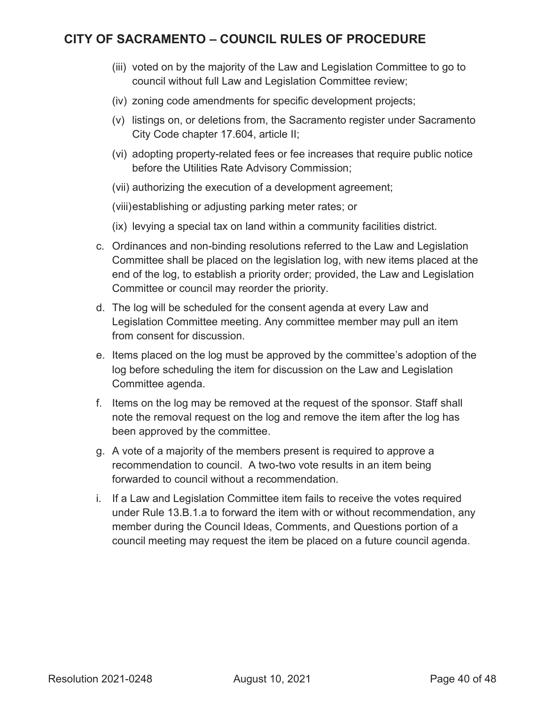- (iii) voted on by the majority of the Law and Legislation Committee to go to council without full Law and Legislation Committee review;
- (iv) zoning code amendments for specific development projects;
- (v) listings on, or deletions from, the Sacramento register under Sacramento City Code chapter 17.604, article II;
- (vi) adopting property-related fees or fee increases that require public notice before the Utilities Rate Advisory Commission;
- (vii) authorizing the execution of a development agreement;
- (viii)establishing or adjusting parking meter rates; or
- (ix) levying a special tax on land within a community facilities district.
- c. Ordinances and non-binding resolutions referred to the Law and Legislation Committee shall be placed on the legislation log, with new items placed at the end of the log, to establish a priority order; provided, the Law and Legislation Committee or council may reorder the priority.
- d. The log will be scheduled for the consent agenda at every Law and Legislation Committee meeting. Any committee member may pull an item from consent for discussion.
- e. Items placed on the log must be approved by the committee's adoption of the log before scheduling the item for discussion on the Law and Legislation Committee agenda.
- f. Items on the log may be removed at the request of the sponsor. Staff shall note the removal request on the log and remove the item after the log has been approved by the committee.
- g. A vote of a majority of the members present is required to approve a recommendation to council. A two-two vote results in an item being forwarded to council without a recommendation.
- i. If a Law and Legislation Committee item fails to receive the votes required under Rule 13.B.1.a to forward the item with or without recommendation, any member during the Council Ideas, Comments, and Questions portion of a council meeting may request the item be placed on a future council agenda.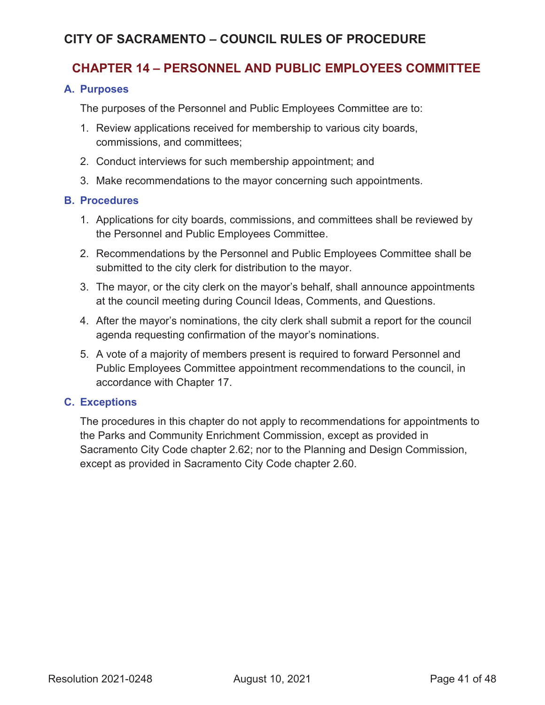### **CHAPTER 14 – PERSONNEL AND PUBLIC EMPLOYEES COMMITTEE**

#### **A. Purposes**

The purposes of the Personnel and Public Employees Committee are to:

- 1. Review applications received for membership to various city boards, commissions, and committees;
- 2. Conduct interviews for such membership appointment; and
- 3. Make recommendations to the mayor concerning such appointments.

#### **B. Procedures**

- 1. Applications for city boards, commissions, and committees shall be reviewed by the Personnel and Public Employees Committee.
- 2. Recommendations by the Personnel and Public Employees Committee shall be submitted to the city clerk for distribution to the mayor.
- 3. The mayor, or the city clerk on the mayor's behalf, shall announce appointments at the council meeting during Council Ideas, Comments, and Questions.
- 4. After the mayor's nominations, the city clerk shall submit a report for the council agenda requesting confirmation of the mayor's nominations.
- 5. A vote of a majority of members present is required to forward Personnel and Public Employees Committee appointment recommendations to the council, in accordance with Chapter 17.

#### **C. Exceptions**

The procedures in this chapter do not apply to recommendations for appointments to the Parks and Community Enrichment Commission, except as provided in Sacramento City Code chapter 2.62; nor to the Planning and Design Commission, except as provided in Sacramento City Code chapter 2.60.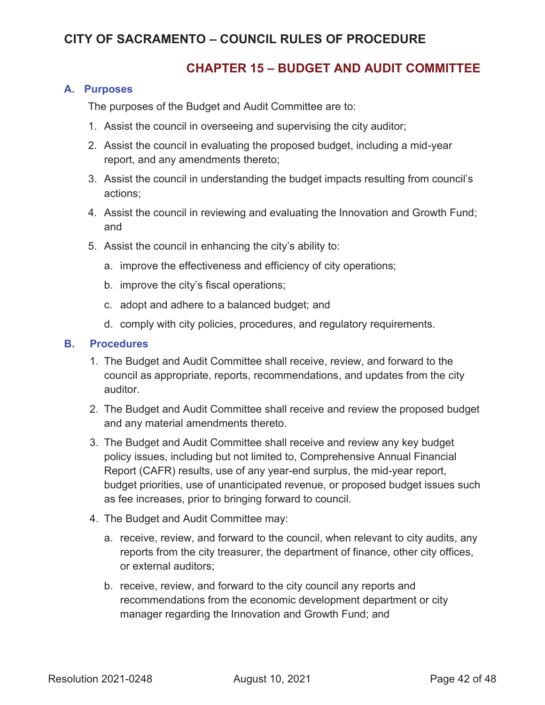### **CHAPTER 15 – BUDGET AND AUDIT COMMITTEE**

#### **A. Purposes**

The purposes of the Budget and Audit Committee are to:

- 1. Assist the council in overseeing and supervising the city auditor;
- 2. Assist the council in evaluating the proposed budget, including a mid-year report, and any amendments thereto;
- 3. Assist the council in understanding the budget impacts resulting from council's actions;
- 4. Assist the council in reviewing and evaluating the Innovation and Growth Fund; and
- 5. Assist the council in enhancing the city's ability to:
	- a. improve the effectiveness and efficiency of city operations;
	- b. improve the city's fiscal operations;
	- c. adopt and adhere to a balanced budget; and
	- d. comply with city policies, procedures, and regulatory requirements.

#### **B. Procedures**

- 1. The Budget and Audit Committee shall receive, review, and forward to the council as appropriate, reports, recommendations, and updates from the city auditor.
- 2. The Budget and Audit Committee shall receive and review the proposed budget and any material amendments thereto.
- 3. The Budget and Audit Committee shall receive and review any key budget policy issues, including but not limited to, Comprehensive Annual Financial Report (CAFR) results, use of any year-end surplus, the mid-year report, budget priorities, use of unanticipated revenue, or proposed budget issues such as fee increases, prior to bringing forward to council.
- 4. The Budget and Audit Committee may:
	- a. receive, review, and forward to the council, when relevant to city audits, any reports from the city treasurer, the department of finance, other city offices, or external auditors;
	- b. receive, review, and forward to the city council any reports and recommendations from the economic development department or city manager regarding the Innovation and Growth Fund; and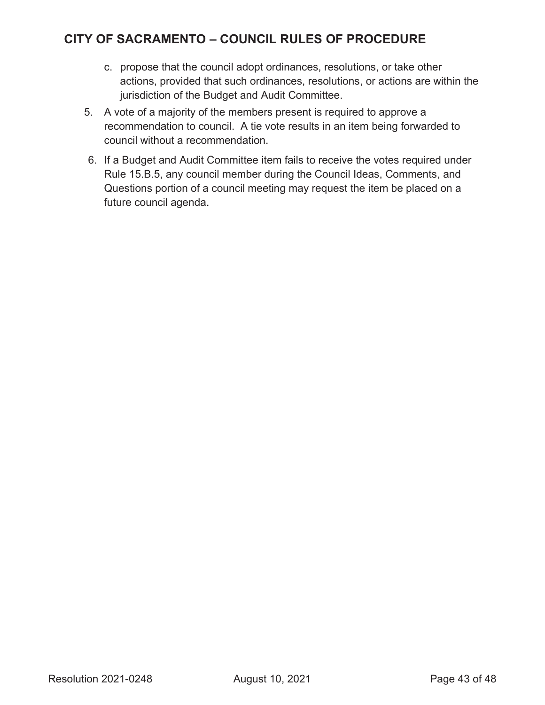- c. propose that the council adopt ordinances, resolutions, or take other actions, provided that such ordinances, resolutions, or actions are within the jurisdiction of the Budget and Audit Committee.
- 5. A vote of a majority of the members present is required to approve a recommendation to council. A tie vote results in an item being forwarded to council without a recommendation.
- 6. If a Budget and Audit Committee item fails to receive the votes required under Rule 15.B.5, any council member during the Council Ideas, Comments, and Questions portion of a council meeting may request the item be placed on a future council agenda.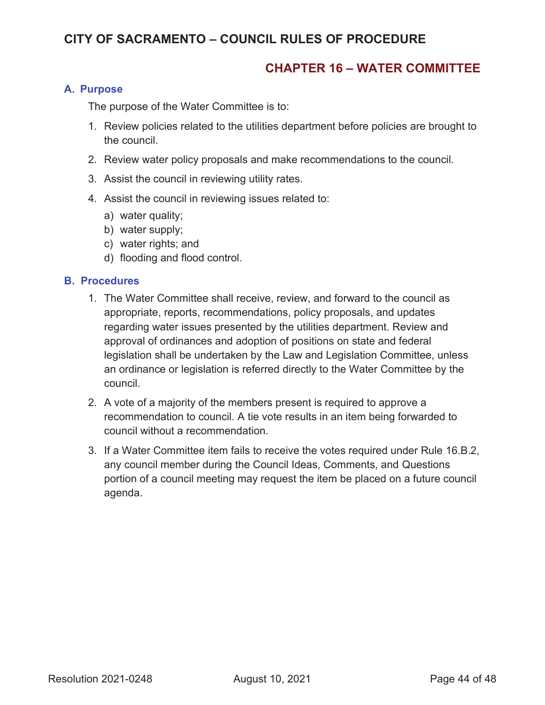#### **CHAPTER 16 – WATER COMMITTEE**

#### **A. Purpose**

The purpose of the Water Committee is to:

- 1. Review policies related to the utilities department before policies are brought to the council.
- 2. Review water policy proposals and make recommendations to the council.
- 3. Assist the council in reviewing utility rates.
- 4. Assist the council in reviewing issues related to:
	- a) water quality;
	- b) water supply;
	- c) water rights; and
	- d) flooding and flood control.

#### **B. Procedures**

- 1. The Water Committee shall receive, review, and forward to the council as appropriate, reports, recommendations, policy proposals, and updates regarding water issues presented by the utilities department. Review and approval of ordinances and adoption of positions on state and federal legislation shall be undertaken by the Law and Legislation Committee, unless an ordinance or legislation is referred directly to the Water Committee by the council.
- 2. A vote of a majority of the members present is required to approve a recommendation to council. A tie vote results in an item being forwarded to council without a recommendation.
- 3. If a Water Committee item fails to receive the votes required under Rule 16.B.2, any council member during the Council Ideas, Comments, and Questions portion of a council meeting may request the item be placed on a future council agenda.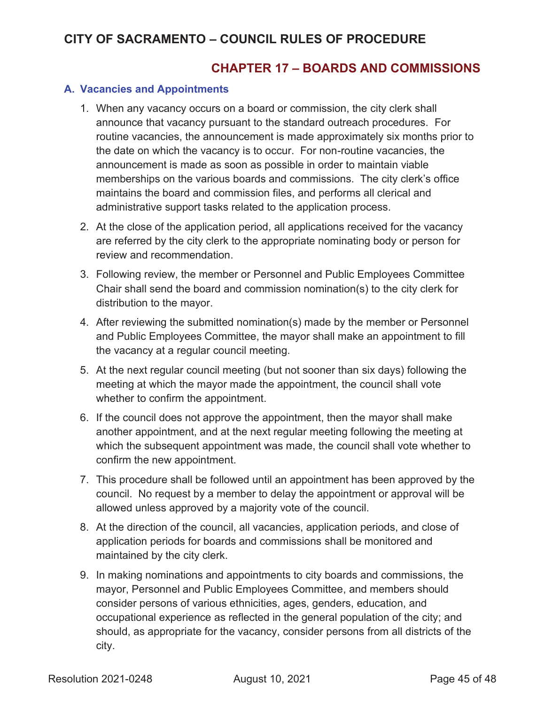### **CHAPTER 17 – BOARDS AND COMMISSIONS**

#### **A. Vacancies and Appointments**

- 1. When any vacancy occurs on a board or commission, the city clerk shall announce that vacancy pursuant to the standard outreach procedures. For routine vacancies, the announcement is made approximately six months prior to the date on which the vacancy is to occur. For non-routine vacancies, the announcement is made as soon as possible in order to maintain viable memberships on the various boards and commissions. The city clerk's office maintains the board and commission files, and performs all clerical and administrative support tasks related to the application process.
- 2. At the close of the application period, all applications received for the vacancy are referred by the city clerk to the appropriate nominating body or person for review and recommendation.
- 3. Following review, the member or Personnel and Public Employees Committee Chair shall send the board and commission nomination(s) to the city clerk for distribution to the mayor.
- 4. After reviewing the submitted nomination(s) made by the member or Personnel and Public Employees Committee, the mayor shall make an appointment to fill the vacancy at a regular council meeting.
- 5. At the next regular council meeting (but not sooner than six days) following the meeting at which the mayor made the appointment, the council shall vote whether to confirm the appointment.
- 6. If the council does not approve the appointment, then the mayor shall make another appointment, and at the next regular meeting following the meeting at which the subsequent appointment was made, the council shall vote whether to confirm the new appointment.
- 7. This procedure shall be followed until an appointment has been approved by the council. No request by a member to delay the appointment or approval will be allowed unless approved by a majority vote of the council.
- 8. At the direction of the council, all vacancies, application periods, and close of application periods for boards and commissions shall be monitored and maintained by the city clerk.
- 9. In making nominations and appointments to city boards and commissions, the mayor, Personnel and Public Employees Committee, and members should consider persons of various ethnicities, ages, genders, education, and occupational experience as reflected in the general population of the city; and should, as appropriate for the vacancy, consider persons from all districts of the city.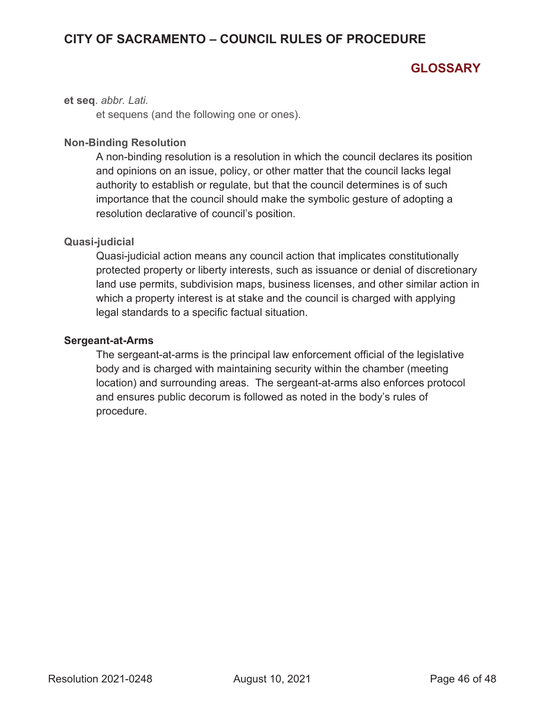# **GLOSSARY**

**et seq**. *abbr. Lati.*

et sequens (and the following one or ones).

#### **Non-Binding Resolution**

A non-binding resolution is a resolution in which the council declares its position and opinions on an issue, policy, or other matter that the council lacks legal authority to establish or regulate, but that the council determines is of such importance that the council should make the symbolic gesture of adopting a resolution declarative of council's position.

#### **Quasi-judicial**

Quasi-judicial action means any council action that implicates constitutionally protected property or liberty interests, such as issuance or denial of discretionary land use permits, subdivision maps, business licenses, and other similar action in which a property interest is at stake and the council is charged with applying legal standards to a specific factual situation.

#### **Sergeant-at-Arms**

The sergeant-at-arms is the principal law enforcement official of the legislative body and is charged with maintaining security within the chamber (meeting location) and surrounding areas. The sergeant-at-arms also enforces protocol and ensures public decorum is followed as noted in the body's rules of procedure.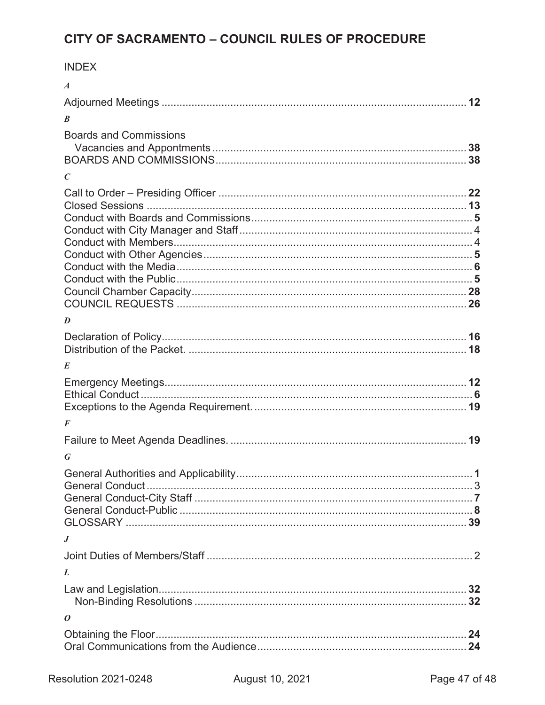|--|

| $\boldsymbol{A}$              |  |
|-------------------------------|--|
|                               |  |
| B                             |  |
| <b>Boards and Commissions</b> |  |
| C                             |  |
|                               |  |
| D                             |  |
|                               |  |
| E                             |  |
|                               |  |
| $\boldsymbol{F}$              |  |
|                               |  |
| G                             |  |
|                               |  |
| $\boldsymbol{J}$              |  |
|                               |  |
| L                             |  |
|                               |  |
| 0                             |  |
|                               |  |